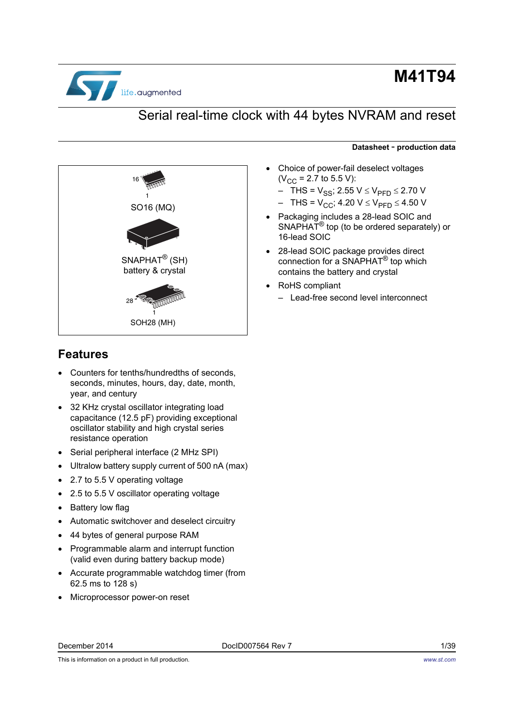

# **M41T94**

## Serial real-time clock with 44 bytes NVRAM and reset



### <span id="page-0-0"></span>**Features**

- Counters for tenths/hundredths of seconds, seconds, minutes, hours, day, date, month, year, and century
- 32 KHz crystal oscillator integrating load capacitance (12.5 pF) providing exceptional oscillator stability and high crystal series resistance operation
- Serial peripheral interface (2 MHz SPI)
- Ultralow battery supply current of 500 nA (max)
- 2.7 to 5.5 V operating voltage
- 2.5 to 5.5 V oscillator operating voltage
- Battery low flag
- Automatic switchover and deselect circuitry
- 44 bytes of general purpose RAM
- Programmable alarm and interrupt function (valid even during battery backup mode)
- Accurate programmable watchdog timer (from 62.5 ms to 128 s)
- Microprocessor power-on reset

This is information on a product in full production.

#### **Datasheet** - **production data**

- Choice of power-fail deselect voltages  $(V_{CC} = 2.7$  to 5.5 V):
	- $-$  THS =  $V_{SS}$ ; 2.55  $V \leq V_{PFD} \leq 2.70 V$
	- $-$  THS =  $V_{CC}$ ; 4.20  $V \leq V_{PFD} \leq 4.50$  V
- Packaging includes a 28-lead SOIC and SNAPHAT® top (to be ordered separately) or 16-lead SOIC
- 28-lead SOIC package provides direct connection for a SNAPHAT® top which contains the battery and crystal
- RoHS compliant
	- Lead-free second level interconnect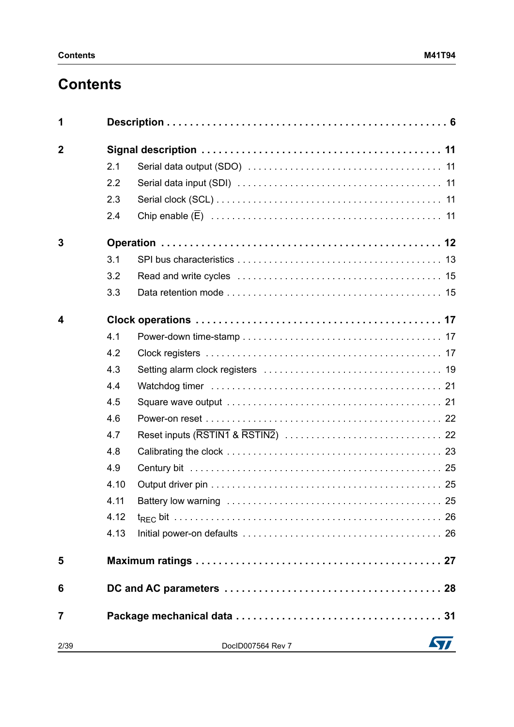# **Contents**

| 1              |      |                   |    |
|----------------|------|-------------------|----|
| $\overline{2}$ |      |                   |    |
|                | 2.1  |                   |    |
|                | 2.2  |                   |    |
|                | 2.3  |                   |    |
|                | 2.4  |                   |    |
| 3              |      |                   |    |
|                | 3.1  |                   |    |
|                | 3.2  |                   |    |
|                | 3.3  |                   |    |
| 4              |      |                   |    |
|                | 4.1  |                   |    |
|                | 4.2  |                   |    |
|                | 4.3  |                   |    |
|                | 4.4  |                   |    |
|                | 4.5  |                   |    |
|                | 4.6  |                   |    |
|                | 4.7  |                   |    |
|                | 4.8  |                   |    |
|                | 4.9  |                   |    |
|                | 4.10 |                   |    |
|                | 4.11 |                   |    |
|                | 4.12 |                   |    |
|                | 4.13 |                   |    |
| 5              |      |                   |    |
| 6              |      |                   |    |
| 7              |      |                   |    |
| 2/39           |      | DocID007564 Rev 7 | 57 |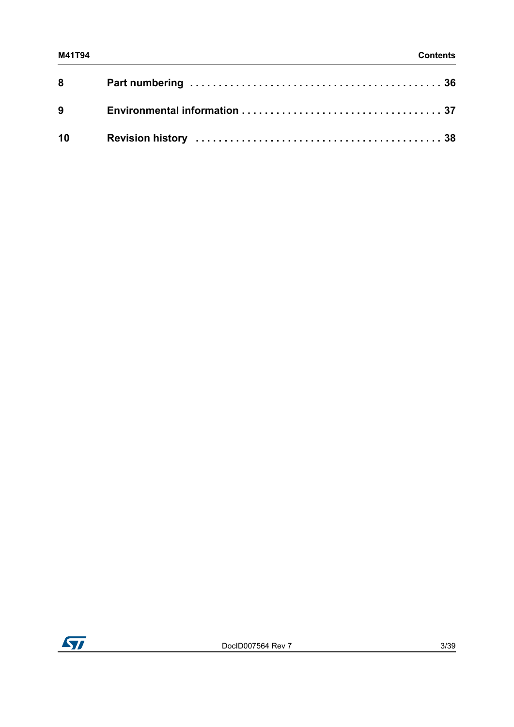| $8^{\circ}$ |  |
|-------------|--|
| 9           |  |
| 10          |  |

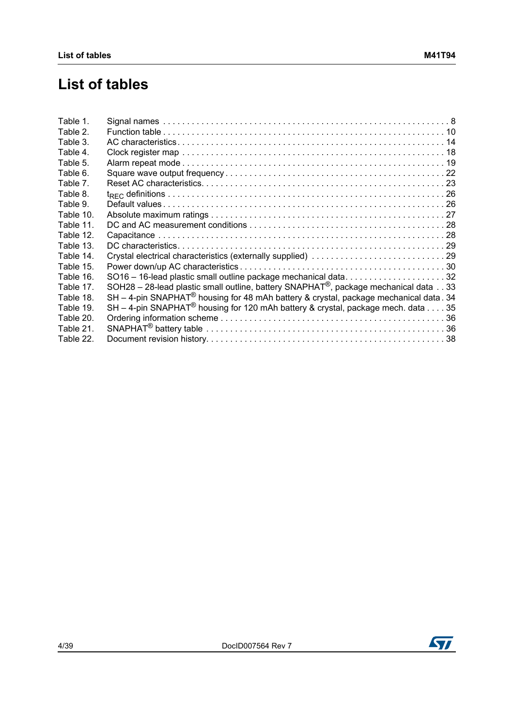## **List of tables**

| Table 1.  |                                                                                                   |
|-----------|---------------------------------------------------------------------------------------------------|
| Table 2.  |                                                                                                   |
| Table 3.  |                                                                                                   |
| Table 4.  |                                                                                                   |
| Table 5.  |                                                                                                   |
| Table 6.  |                                                                                                   |
| Table 7.  |                                                                                                   |
| Table 8.  |                                                                                                   |
| Table 9.  |                                                                                                   |
| Table 10. |                                                                                                   |
| Table 11. |                                                                                                   |
| Table 12. |                                                                                                   |
| Table 13. |                                                                                                   |
| Table 14. | Crystal electrical characteristics (externally supplied) 29                                       |
| Table 15. |                                                                                                   |
| Table 16. | SO16 - 16-lead plastic small outline package mechanical data32                                    |
| Table 17. | SOH28 - 28-lead plastic small outline, battery SNAPHAT <sup>®</sup> , package mechanical data 33  |
| Table 18. | SH - 4-pin SNAPHAT <sup>®</sup> housing for 48 mAh battery & crystal, package mechanical data. 34 |
| Table 19. | SH - 4-pin SNAPHAT <sup>®</sup> housing for 120 mAh battery & crystal, package mech. data 35      |
| Table 20. |                                                                                                   |
| Table 21. |                                                                                                   |
| Table 22. |                                                                                                   |
|           |                                                                                                   |

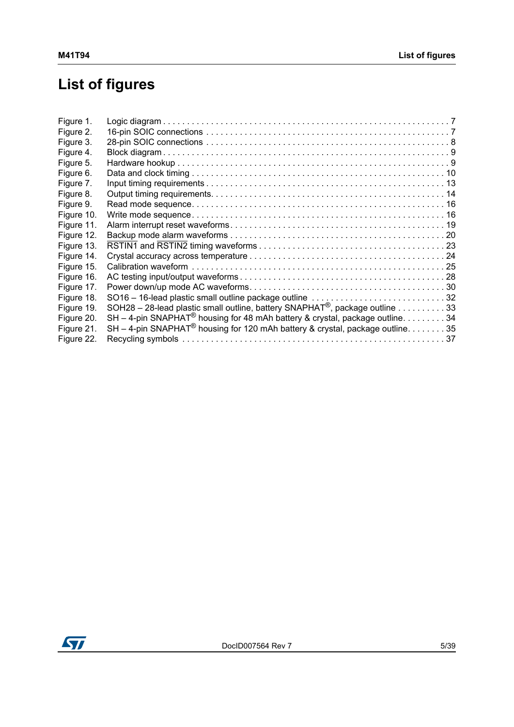# **List of figures**

| Figure 1.  |                                                                                                                 |  |
|------------|-----------------------------------------------------------------------------------------------------------------|--|
| Figure 2.  |                                                                                                                 |  |
| Figure 3.  |                                                                                                                 |  |
| Figure 4.  |                                                                                                                 |  |
| Figure 5.  |                                                                                                                 |  |
| Figure 6.  |                                                                                                                 |  |
| Figure 7.  |                                                                                                                 |  |
| Figure 8.  |                                                                                                                 |  |
| Figure 9.  |                                                                                                                 |  |
| Figure 10. |                                                                                                                 |  |
| Figure 11. |                                                                                                                 |  |
| Figure 12. |                                                                                                                 |  |
| Figure 13. |                                                                                                                 |  |
| Figure 14. |                                                                                                                 |  |
| Figure 15. |                                                                                                                 |  |
| Figure 16. |                                                                                                                 |  |
| Figure 17. |                                                                                                                 |  |
| Figure 18. | SO16 - 16-lead plastic small outline package outline 32                                                         |  |
| Figure 19. | SOH28 - 28-lead plastic small outline, battery SNAPHAT <sup>®</sup> , package outline $\ldots \ldots \ldots 33$ |  |
| Figure 20. | SH - 4-pin SNAPHAT <sup>®</sup> housing for 48 mAh battery & crystal, package outline. 34                       |  |
| Figure 21. | SH - 4-pin SNAPHAT <sup>®</sup> housing for 120 mAh battery & crystal, package outline. 35                      |  |
| Figure 22. |                                                                                                                 |  |
|            |                                                                                                                 |  |

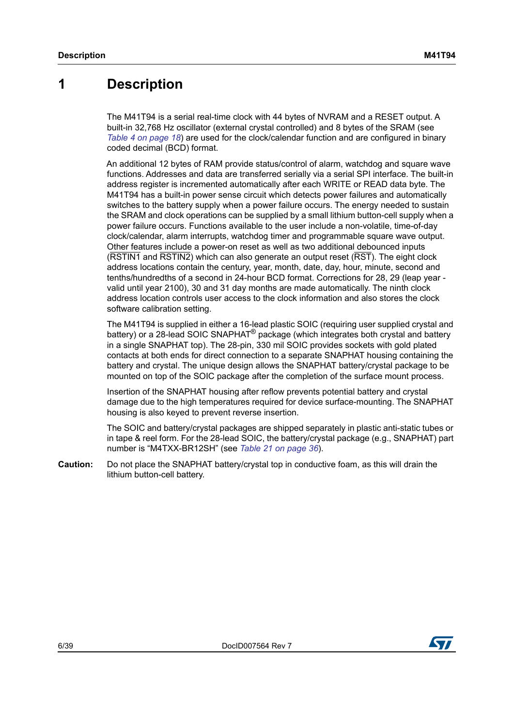## <span id="page-5-0"></span>**1 Description**

The M41T94 is a serial real-time clock with 44 bytes of NVRAM and a RESET output. A built-in 32,768 Hz oscillator (external crystal controlled) and 8 bytes of the SRAM (see *[Table 4 on page 18](#page-17-0)*) are used for the clock/calendar function and are configured in binary coded decimal (BCD) format.

An additional 12 bytes of RAM provide status/control of alarm, watchdog and square wave functions. Addresses and data are transferred serially via a serial SPI interface. The built-in address register is incremented automatically after each WRITE or READ data byte. The M41T94 has a built-in power sense circuit which detects power failures and automatically switches to the battery supply when a power failure occurs. The energy needed to sustain the SRAM and clock operations can be supplied by a small lithium button-cell supply when a power failure occurs. Functions available to the user include a non-volatile, time-of-day clock/calendar, alarm interrupts, watchdog timer and programmable square wave output. Other features include a power-on reset as well as two additional debounced inputs (RSTIN1 and RSTIN2) which can also generate an output reset (RST). The eight clock address locations contain the century, year, month, date, day, hour, minute, second and tenths/hundredths of a second in 24-hour BCD format. Corrections for 28, 29 (leap year valid until year 2100), 30 and 31 day months are made automatically. The ninth clock address location controls user access to the clock information and also stores the clock software calibration setting.

The M41T94 is supplied in either a 16-lead plastic SOIC (requiring user supplied crystal and battery) or a 28-lead SOIC SNAPHAT<sup>®</sup> package (which integrates both crystal and battery in a single SNAPHAT top). The 28-pin, 330 mil SOIC provides sockets with gold plated contacts at both ends for direct connection to a separate SNAPHAT housing containing the battery and crystal. The unique design allows the SNAPHAT battery/crystal package to be mounted on top of the SOIC package after the completion of the surface mount process.

Insertion of the SNAPHAT housing after reflow prevents potential battery and crystal damage due to the high temperatures required for device surface-mounting. The SNAPHAT housing is also keyed to prevent reverse insertion.

The SOIC and battery/crystal packages are shipped separately in plastic anti-static tubes or in tape & reel form. For the 28-lead SOIC, the battery/crystal package (e.g., SNAPHAT) part number is "M4TXX-BR12SH" (see *[Table 21 on page 36](#page-35-2)*).

**Caution:** Do not place the SNAPHAT battery/crystal top in conductive foam, as this will drain the lithium button-cell battery.

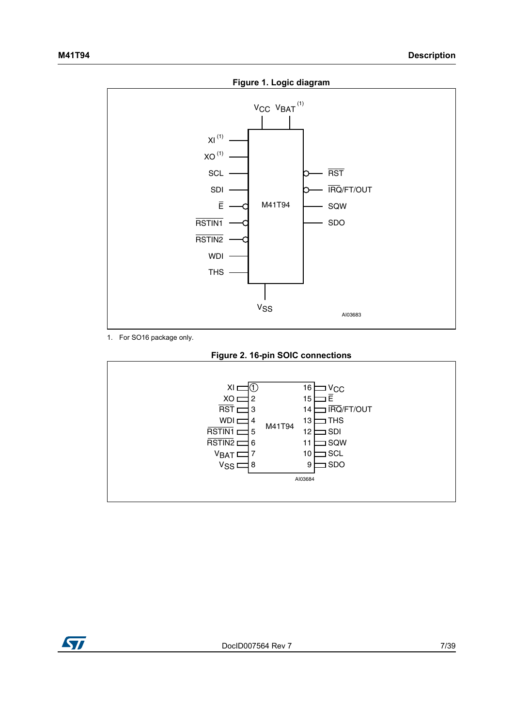<span id="page-6-0"></span>

1. For SO16 package only.



<span id="page-6-1"></span>

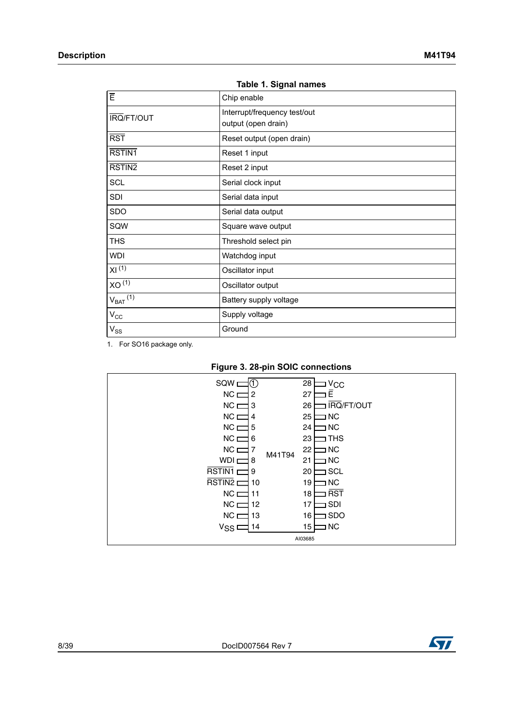<span id="page-7-0"></span>

| <b>IQUIG I. VIYIIQI HAIHGS</b> |                              |  |  |  |
|--------------------------------|------------------------------|--|--|--|
| $\bar{E}$                      | Chip enable                  |  |  |  |
| <b>IRQ/FT/OUT</b>              | Interrupt/frequency test/out |  |  |  |
|                                | output (open drain)          |  |  |  |
| $\overline{RST}$               | Reset output (open drain)    |  |  |  |
| RSTIN <sub>1</sub>             | Reset 1 input                |  |  |  |
| RSTIN2                         | Reset 2 input                |  |  |  |
| <b>SCL</b>                     | Serial clock input           |  |  |  |
| <b>SDI</b>                     | Serial data input            |  |  |  |
| SDO                            | Serial data output           |  |  |  |
| SQW                            | Square wave output           |  |  |  |
| <b>THS</b>                     | Threshold select pin         |  |  |  |
| <b>WDI</b>                     | Watchdog input               |  |  |  |
| XI <sup>(1)</sup>              | Oscillator input             |  |  |  |
| XO <sup>(1)</sup>              | Oscillator output            |  |  |  |
| $V_{BAT}$ $(1)$                | Battery supply voltage       |  |  |  |
| $V_{\rm CC}$                   | Supply voltage               |  |  |  |
| $V_{SS}$                       | Ground                       |  |  |  |
|                                |                              |  |  |  |

|  |  |  | Table 1. Signal names |
|--|--|--|-----------------------|
|--|--|--|-----------------------|

1. For SO16 package only.



<span id="page-7-1"></span>

| $SQW \equiv$<br>(1)<br>$NC \equiv$<br>2<br>$NC \equiv$<br>13<br>$NC \equiv$<br>4<br>$NC \equiv$<br>5<br>$NC \equiv$<br>6<br>$NC \sqsubset$<br>7<br>WDI <sub>L</sub><br>8<br>۳<br>RSTIN1 <sub>L</sub><br>9<br>┑<br>RSTIN2 <sub>[</sub><br>10<br>$NC \equiv$<br>11<br>NC <sub>L</sub><br>12 | M41T94 | 28<br>Vcc<br>Ē<br>27<br>IRQ/FT/OUT<br>26<br><b>NC</b><br>25<br>$\overline{\phantom{a}}$ NC<br>24<br>I THS<br>23<br>NC ב<br>22<br>21<br><b>NC</b><br><b>J</b> SCL<br>20<br><b>NC</b><br>19<br><b>RST</b><br>18<br><b>SDI</b><br>17 |
|-------------------------------------------------------------------------------------------------------------------------------------------------------------------------------------------------------------------------------------------------------------------------------------------|--------|-----------------------------------------------------------------------------------------------------------------------------------------------------------------------------------------------------------------------------------|
|                                                                                                                                                                                                                                                                                           |        |                                                                                                                                                                                                                                   |
| $NC \equiv$<br>13<br>V <sub>SS</sub><br>14                                                                                                                                                                                                                                                |        | <b>SDO</b><br>16<br>I <sub>NC</sub><br>15<br>AI03685                                                                                                                                                                              |

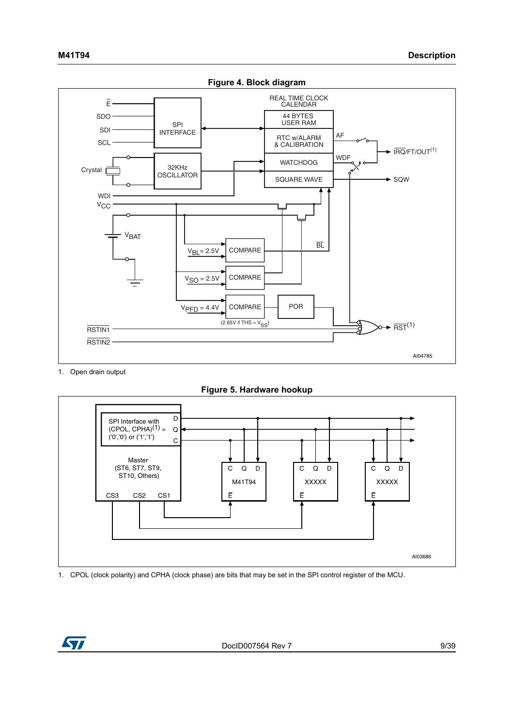<span id="page-8-0"></span>

1. Open drain output



<span id="page-8-1"></span>

1. CPOL (clock polarity) and CPHA (clock phase) are bits that may be set in the SPI control register of the MCU.

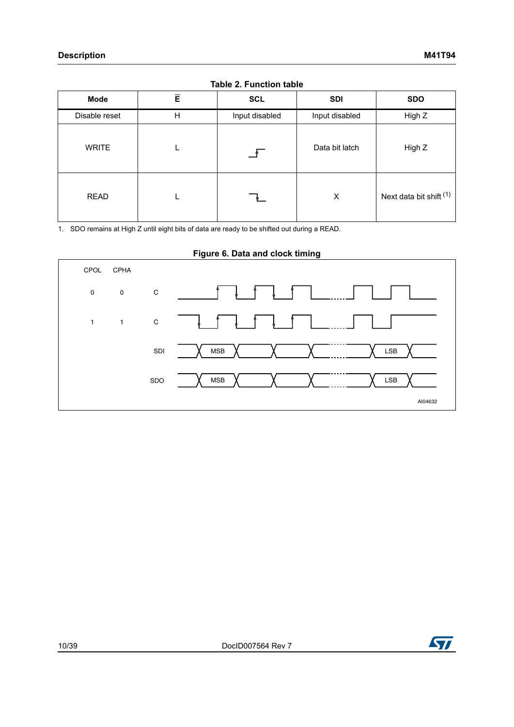<span id="page-9-0"></span>

| Mode          | $\bar{E}$ | <b>SCL</b>     | <b>SDI</b>     | <b>SDO</b>              |  |  |  |
|---------------|-----------|----------------|----------------|-------------------------|--|--|--|
| Disable reset | Н         | Input disabled | Input disabled | High Z                  |  |  |  |
| <b>WRITE</b>  |           |                | Data bit latch | High Z                  |  |  |  |
| <b>READ</b>   |           |                | X              | Next data bit shift (1) |  |  |  |

#### **Table 2. Function table**

1. SDO remains at High Z until eight bits of data are ready to be shifted out during a READ.

#### **Figure 6. Data and clock timing**

<span id="page-9-1"></span>

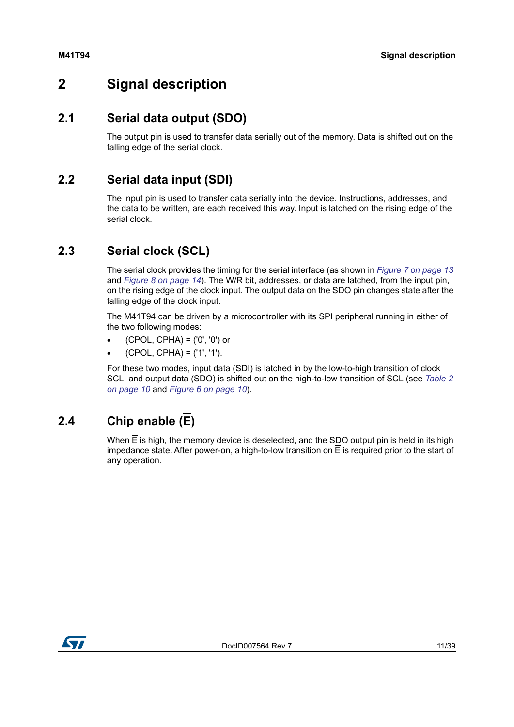## <span id="page-10-0"></span>**2 Signal description**

### <span id="page-10-1"></span>**2.1 Serial data output (SDO)**

The output pin is used to transfer data serially out of the memory. Data is shifted out on the falling edge of the serial clock.

### <span id="page-10-2"></span>**2.2 Serial data input (SDI)**

The input pin is used to transfer data serially into the device. Instructions, addresses, and the data to be written, are each received this way. Input is latched on the rising edge of the serial clock.

### <span id="page-10-3"></span>**2.3 Serial clock (SCL)**

The serial clock provides the timing for the serial interface (as shown in *[Figure 7 on page 13](#page-12-1)* and *[Figure 8 on page 14](#page-13-1)*). The W/R bit, addresses, or data are latched, from the input pin, on the rising edge of the clock input. The output data on the SDO pin changes state after the falling edge of the clock input.

The M41T94 can be driven by a microcontroller with its SPI peripheral running in either of the two following modes:

- (CPOL, CPHA) = ('0', '0') or
- (CPOL, CPHA) = ('1', '1').

For these two modes, input data (SDI) is latched in by the low-to-high transition of clock SCL, and output data (SDO) is shifted out on the high-to-low transition of SCL (see *[Table 2](#page-9-0)  [on page 10](#page-9-0)* and *[Figure 6 on page 10](#page-9-1)*).

## <span id="page-10-4"></span>**2.4 Chip enable (E)**

When  $\overline{E}$  is high, the memory device is deselected, and the SDO output pin is held in its high impedance state. After power-on, a high-to-low transition on  $\overline{E}$  is required prior to the start of any operation.

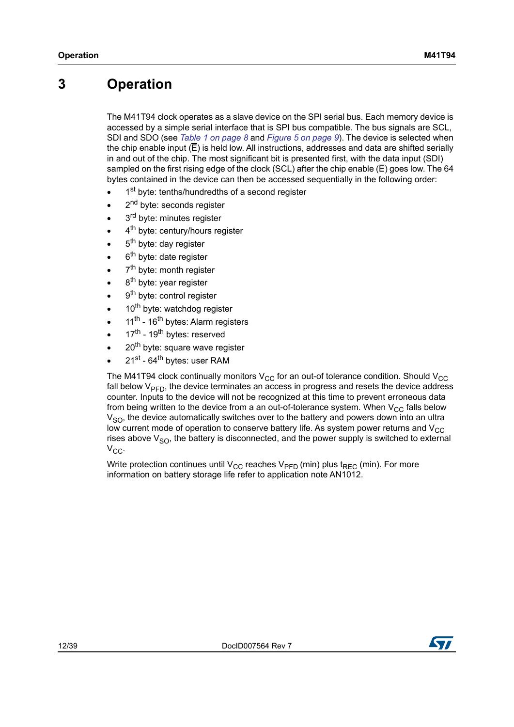## <span id="page-11-0"></span>**3 Operation**

The M41T94 clock operates as a slave device on the SPI serial bus. Each memory device is accessed by a simple serial interface that is SPI bus compatible. The bus signals are SCL, SDI and SDO (see *[Table 1 on page 8](#page-7-0)* and *[Figure 5 on page 9](#page-8-1)*). The device is selected when the chip enable input  $(E)$  is held low. All instructions, addresses and data are shifted serially in and out of the chip. The most significant bit is presented first, with the data input (SDI) sampled on the first rising edge of the clock (SCL) after the chip enable  $(\overline{E})$  goes low. The 64 bytes contained in the device can then be accessed sequentially in the following order:

- 1<sup>st</sup> byte: tenths/hundredths of a second register
- 2<sup>nd</sup> byte: seconds register
- 3<sup>rd</sup> byte: minutes register
- 4<sup>th</sup> byte: century/hours register
- 5<sup>th</sup> byte: day register
- 6<sup>th</sup> byte: date register
- 7<sup>th</sup> byte: month register
- 8<sup>th</sup> byte: year register
- 9<sup>th</sup> byte: control register
- 10<sup>th</sup> byte: watchdog register
- 11<sup>th</sup> 16<sup>th</sup> bytes: Alarm registers
- 17<sup>th</sup> 19<sup>th</sup> bytes: reserved
- 20<sup>th</sup> byte: square wave register
- 21st 64<sup>th</sup> bytes: user RAM

The M41T94 clock continually monitors  $V_{CC}$  for an out-of tolerance condition. Should  $V_{CC}$ fall below  $V_{\text{PFD}}$ , the device terminates an access in progress and resets the device address counter. Inputs to the device will not be recognized at this time to prevent erroneous data from being written to the device from a an out-of-tolerance system. When  $V_{CC}$  falls below  $V<sub>SO</sub>$ , the device automatically switches over to the battery and powers down into an ultra low current mode of operation to conserve battery life. As system power returns and  $V_{CC}$ rises above  $V<sub>SO</sub>$ , the battery is disconnected, and the power supply is switched to external V<sub>CC</sub>.

Write protection continues until V<sub>CC</sub> reaches V<sub>PFD</sub> (min) plus t<sub>REC</sub> (min). For more information on battery storage life refer to application note AN1012.

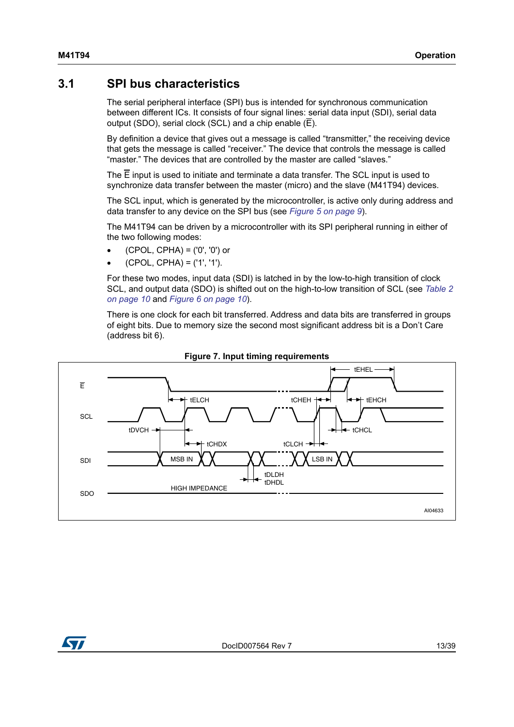### <span id="page-12-0"></span>**3.1 SPI bus characteristics**

The serial peripheral interface (SPI) bus is intended for synchronous communication between different ICs. It consists of four signal lines: serial data input (SDI), serial data output (SDO), serial clock (SCL) and a chip enable  $(\overline{E})$ .

By definition a device that gives out a message is called "transmitter," the receiving device that gets the message is called "receiver." The device that controls the message is called "master." The devices that are controlled by the master are called "slaves."

The  $\overline{E}$  input is used to initiate and terminate a data transfer. The SCL input is used to synchronize data transfer between the master (micro) and the slave (M41T94) devices.

The SCL input, which is generated by the microcontroller, is active only during address and data transfer to any device on the SPI bus (see *[Figure 5 on page 9](#page-8-1)*).

The M41T94 can be driven by a microcontroller with its SPI peripheral running in either of the two following modes:

- (CPOL, CPHA) = ('0', '0') or
- (CPOL, CPHA) = ('1', '1').

For these two modes, input data (SDI) is latched in by the low-to-high transition of clock SCL, and output data (SDO) is shifted out on the high-to-low transition of SCL (see *[Table 2](#page-9-0)  [on page 10](#page-9-0)* and *[Figure 6 on page 10](#page-9-1)*).

There is one clock for each bit transferred. Address and data bits are transferred in groups of eight bits. Due to memory size the second most significant address bit is a Don't Care (address bit 6).

<span id="page-12-1"></span>

#### **Figure 7. Input timing requirements**

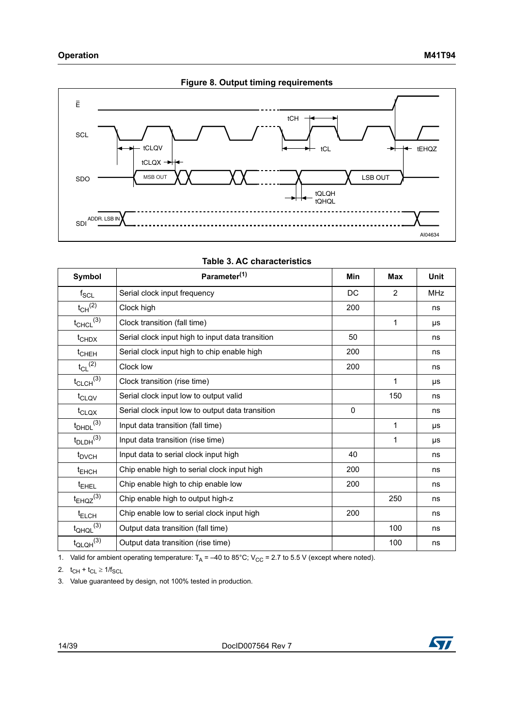<span id="page-13-1"></span>

<span id="page-13-0"></span>

| Symbol                    | Parameter <sup>(1)</sup>                         | Min      | Max            | Unit       |
|---------------------------|--------------------------------------------------|----------|----------------|------------|
| $f_{\rm SCL}$             | Serial clock input frequency                     | DC       | $\overline{2}$ | <b>MHz</b> |
| $t_{CH}$ <sup>(2)</sup>   | Clock high                                       | 200      |                | ns         |
| $t_{CHCL}$ <sup>(3)</sup> | Clock transition (fall time)                     |          | 1              | <b>US</b>  |
| $t$ CHDX                  | Serial clock input high to input data transition | 50       |                | ns         |
| $t$ <sub>CHEH</sub>       | Serial clock input high to chip enable high      | 200      |                | ns         |
| $t_{CL}$ <sup>(2)</sup>   | Clock low                                        | 200      |                | ns         |
| $t_{CLCH}$ <sup>(3)</sup> | Clock transition (rise time)                     |          | 1              | μs         |
| t <sub>CLQV</sub>         | Serial clock input low to output valid           |          | 150            | ns         |
| $t_{\text{CLQX}}$         | Serial clock input low to output data transition | $\Omega$ |                | ns         |
| $t_{DHDL}$ <sup>(3)</sup> | Input data transition (fall time)                |          | 1              | μs         |
| $t_{\text{DLDH}}^{(3)}$   | Input data transition (rise time)                |          | 1              | μs         |
| $t_{\text{DVCH}}$         | Input data to serial clock input high            | 40       |                | ns         |
| $t_{EHCH}$                | Chip enable high to serial clock input high      | 200      |                | ns         |
| <sup>t</sup> EHEL         | Chip enable high to chip enable low              | 200      |                | ns         |
| $t_{EHQZ}^{(3)}$          | Chip enable high to output high-z                |          | 250            | ns         |
| $t_{\text{ELCH}}$         | Chip enable low to serial clock input high       | 200      |                | ns         |
| $t_{QHQL}$ <sup>(3)</sup> | Output data transition (fall time)               |          | 100            | ns         |
| $t_{\text{QLQH}}^{(3)}$   | Output data transition (rise time)               |          | 100            | ns         |

#### **Table 3. AC characteristics**

1. Valid for ambient operating temperature:  $T_A = -40$  to 85°C; V<sub>CC</sub> = 2.7 to 5.5 V (except where noted).

2.  $t_{CH} + t_{CL} \ge 1/f_{SCL}$ 

3. Value guaranteed by design, not 100% tested in production.

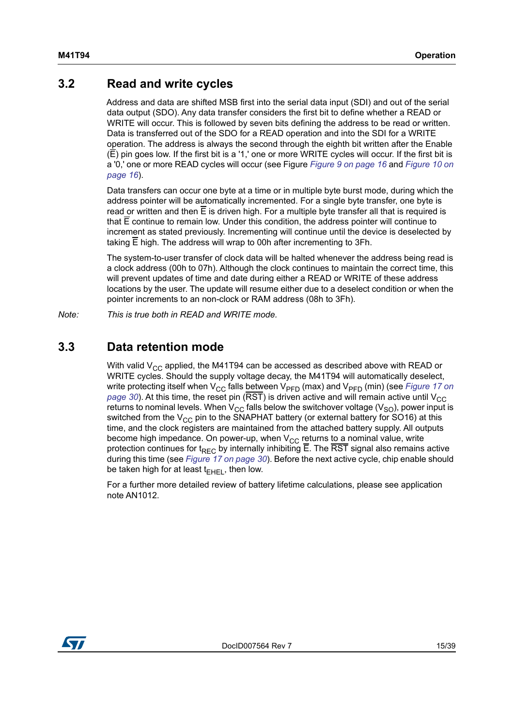### <span id="page-14-0"></span>**3.2 Read and write cycles**

Address and data are shifted MSB first into the serial data input (SDI) and out of the serial data output (SDO). Any data transfer considers the first bit to define whether a READ or WRITE will occur. This is followed by seven bits defining the address to be read or written. Data is transferred out of the SDO for a READ operation and into the SDI for a WRITE operation. The address is always the second through the eighth bit written after the Enable (E) pin goes low. If the first bit is a '1,' one or more WRITE cycles will occur. If the first bit is a '0,' one or more READ cycles will occur (see Figure *[Figure 9 on page 16](#page-15-0)* and *[Figure 10 on](#page-15-1)  [page 16](#page-15-1)*).

Data transfers can occur one byte at a time or in multiple byte burst mode, during which the address pointer will be automatically incremented. For a single byte transfer, one byte is read or written and then  $\overline{E}$  is driven high. For a multiple byte transfer all that is required is that  $\overline{E}$  continue to remain low. Under this condition, the address pointer will continue to increment as stated previously. Incrementing will continue until the device is deselected by taking  $\overline{E}$  high. The address will wrap to 00h after incrementing to 3Fh.

The system-to-user transfer of clock data will be halted whenever the address being read is a clock address (00h to 07h). Although the clock continues to maintain the correct time, this will prevent updates of time and date during either a READ or WRITE of these address locations by the user. The update will resume either due to a deselect condition or when the pointer increments to an non-clock or RAM address (08h to 3Fh).

*Note: This is true both in READ and WRITE mode.*

### <span id="page-14-1"></span>**3.3 Data retention mode**

With valid  $V_{CC}$  applied, the M41T94 can be accessed as described above with READ or WRITE cycles. Should the supply voltage decay, the M41T94 will automatically deselect, write protecting itself when  $V_{CC}$  falls between  $V_{PFD}$  (max) and  $V_{PFD}$  (min) (see *Figure 17 on [page 30](#page-29-1)*). At this time, the reset pin (RST) is driven active and will remain active until  $V_{\text{CC}}$ returns to nominal levels. When  $V_{CC}$  falls below the switchover voltage ( $V_{SO}$ ), power input is switched from the  $V_{CC}$  pin to the SNAPHAT battery (or external battery for SO16) at this time, and the clock registers are maintained from the attached battery supply. All outputs become high impedance. On power-up, when  $V_{CC}$  returns to a nominal value, write protection continues for t<sub>REC</sub> by internally inhibiting  $\overline{E}$ . The  $\overline{RST}$  signal also remains active during this time (see *[Figure 17 on page 30](#page-29-1)*). Before the next active cycle, chip enable should be taken high for at least  $t_{\text{FHE}}$ , then low.

For a further more detailed review of battery lifetime calculations, please see application note AN1012.

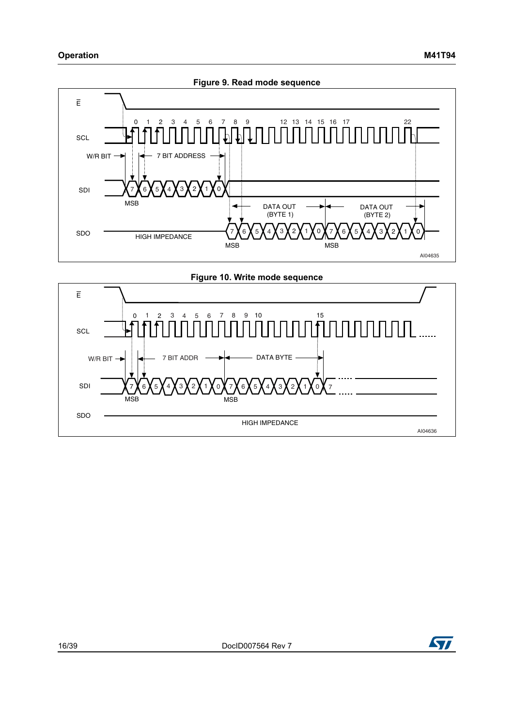<span id="page-15-0"></span>

<span id="page-15-1"></span>

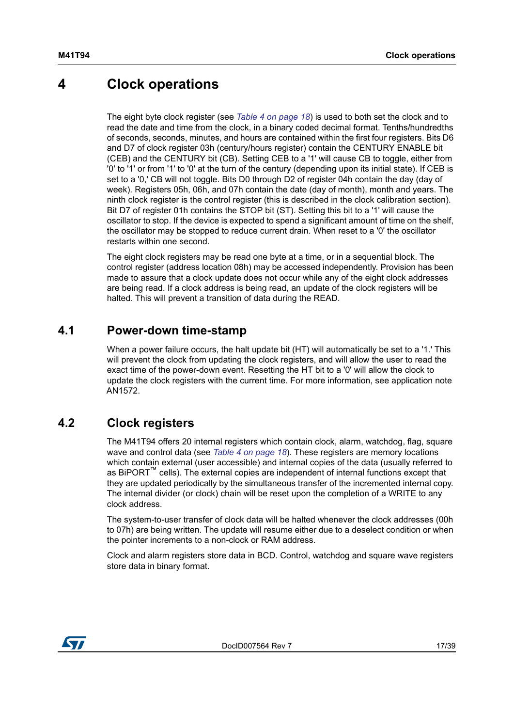## <span id="page-16-0"></span>**4 Clock operations**

The eight byte clock register (see *[Table 4 on page 18](#page-17-0)*) is used to both set the clock and to read the date and time from the clock, in a binary coded decimal format. Tenths/hundredths of seconds, seconds, minutes, and hours are contained within the first four registers. Bits D6 and D7 of clock register 03h (century/hours register) contain the CENTURY ENABLE bit (CEB) and the CENTURY bit (CB). Setting CEB to a '1' will cause CB to toggle, either from '0' to '1' or from '1' to '0' at the turn of the century (depending upon its initial state). If CEB is set to a '0,' CB will not toggle. Bits D0 through D2 of register 04h contain the day (day of week). Registers 05h, 06h, and 07h contain the date (day of month), month and years. The ninth clock register is the control register (this is described in the clock calibration section). Bit D7 of register 01h contains the STOP bit (ST). Setting this bit to a '1' will cause the oscillator to stop. If the device is expected to spend a significant amount of time on the shelf, the oscillator may be stopped to reduce current drain. When reset to a '0' the oscillator restarts within one second.

The eight clock registers may be read one byte at a time, or in a sequential block. The control register (address location 08h) may be accessed independently. Provision has been made to assure that a clock update does not occur while any of the eight clock addresses are being read. If a clock address is being read, an update of the clock registers will be halted. This will prevent a transition of data during the READ.

### <span id="page-16-1"></span>**4.1 Power-down time-stamp**

When a power failure occurs, the halt update bit (HT) will automatically be set to a '1.' This will prevent the clock from updating the clock registers, and will allow the user to read the exact time of the power-down event. Resetting the HT bit to a '0' will allow the clock to update the clock registers with the current time. For more information, see application note AN1572.

## <span id="page-16-2"></span>**4.2 Clock registers**

The M41T94 offers 20 internal registers which contain clock, alarm, watchdog, flag, square wave and control data (see *[Table 4 on page 18](#page-17-0)*). These registers are memory locations which contain external (user accessible) and internal copies of the data (usually referred to as BiPORT™ cells). The external copies are independent of internal functions except that they are updated periodically by the simultaneous transfer of the incremented internal copy. The internal divider (or clock) chain will be reset upon the completion of a WRITE to any clock address.

The system-to-user transfer of clock data will be halted whenever the clock addresses (00h to 07h) are being written. The update will resume either due to a deselect condition or when the pointer increments to a non-clock or RAM address.

Clock and alarm registers store data in BCD. Control, watchdog and square wave registers store data in binary format.

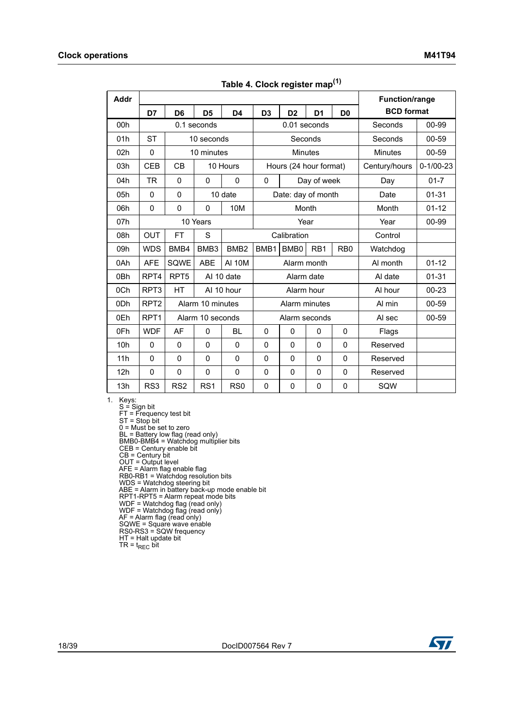<span id="page-17-0"></span>

| Addr            |                  |                  |                  |                  |                  |                        |                  |                  | <b>Function/range</b> |                 |
|-----------------|------------------|------------------|------------------|------------------|------------------|------------------------|------------------|------------------|-----------------------|-----------------|
|                 | D7               | D <sub>6</sub>   | D <sub>5</sub>   | D <sub>4</sub>   | D <sub>3</sub>   | D <sub>2</sub>         | D <sub>1</sub>   | D <sub>0</sub>   | <b>BCD</b> format     |                 |
| 00h             |                  |                  | 0.1 seconds      |                  |                  | 0.01 seconds           |                  |                  | Seconds               | 00-99           |
| 01h             | <b>ST</b>        |                  | 10 seconds       |                  |                  | Seconds                |                  |                  | Seconds               | 00-59           |
| 02h             | $\mathbf 0$      |                  | 10 minutes       |                  |                  | <b>Minutes</b>         |                  |                  | Minutes               | 00-59           |
| 03h             | <b>CEB</b>       | CB               |                  | 10 Hours         |                  | Hours (24 hour format) |                  |                  | Century/hours         | $0 - 1/00 - 23$ |
| 04h             | <b>TR</b>        | $\mathbf 0$      | $\mathbf 0$      | $\mathbf 0$      | 0                |                        | Day of week      |                  | Day                   | $01 - 7$        |
| 05h             | $\mathbf 0$      | $\mathbf{0}$     |                  | 10 date          |                  | Date: day of month     |                  |                  | Date                  | $01 - 31$       |
| 06h             | $\mathbf 0$      | 0                | $\mathbf{0}$     | 10M              |                  | Month                  |                  |                  | Month                 | $01 - 12$       |
| 07h             |                  |                  | 10 Years         |                  |                  | Year                   |                  |                  | Year                  | 00-99           |
| 08h             | <b>OUT</b>       | <b>FT</b>        | S                |                  |                  | Calibration            |                  |                  | Control               |                 |
| 09h             | <b>WDS</b>       | BMB4             | BMB3             | BMB <sub>2</sub> | BMB <sub>1</sub> | BMB <sub>0</sub>       | R <sub>B</sub> 1 | R <sub>B</sub> 0 | Watchdog              |                 |
| 0Ah             | <b>AFE</b>       | SQWE             | <b>ABE</b>       | <b>AI 10M</b>    |                  | Alarm month            |                  |                  | Al month              | $01 - 12$       |
| 0 <sub>Bh</sub> | RPT4             | RPT <sub>5</sub> | AI 10 date       |                  |                  | Alarm date             |                  |                  | Al date               | $01 - 31$       |
| 0Ch             | RPT <sub>3</sub> | HT               |                  | AI 10 hour       |                  | Alarm hour             |                  |                  | Al hour               | $00 - 23$       |
| 0Dh             | RPT <sub>2</sub> |                  | Alarm 10 minutes |                  |                  | Alarm minutes          |                  |                  | Al min                | 00-59           |
| 0Eh             | RPT <sub>1</sub> |                  | Alarm 10 seconds |                  |                  | Alarm seconds          |                  |                  | Al sec                | 00-59           |
| 0Fh             | <b>WDF</b>       | AF               | $\mathbf{0}$     | <b>BL</b>        | $\Omega$         | $\mathbf{0}$           | 0                | $\mathbf{0}$     | Flags                 |                 |
| 10h             | 0                | $\pmb{0}$        | $\mathbf{0}$     | $\mathbf{0}$     | 0                | $\mathbf 0$            | $\mathbf 0$      | $\mathbf 0$      | Reserved              |                 |
| 11h             | $\mathbf 0$      | $\mathbf{0}$     | $\mathbf{0}$     | $\mathbf{0}$     | 0                | $\mathbf 0$            | $\mathbf 0$      | $\mathbf 0$      | Reserved              |                 |
| 12h             | 0                | $\mathbf 0$      | $\mathbf 0$      | $\mathbf 0$      | 0                | $\mathbf 0$            | 0                | 0                | Reserved              |                 |
| 13h             | RS3              | RS <sub>2</sub>  | RS <sub>1</sub>  | R <sub>S0</sub>  | 0                | 0                      | 0                | 0                | SQW                   |                 |

**Table 4. Clock register map(1)**

1. Keys:

S = Sign bit FT = Frequency test bit ST = Stop bit 0 = Must be set to zero BL = Battery low flag (read only) BMB0-BMB4 = Watchdog multiplier bits CEB = Century enable bit CB = Century bit OUT = Output level AFE = Alarm flag enable flag RB0-RB1 = Watchdog resolution bits WDS = Watchdog steering bit ABE = Alarm in battery back-up mode enable bit RPT1-RPT5 = Alarm repeat mode bits WDF = Watchdog flag (read only) WDF = Watchdog flag (read only) AF = Alarm flag (read only) SQWE = Square wave enable RS0-RS3 = SQW frequency HT = Halt update bit  $TR = t_{REC}$  bit

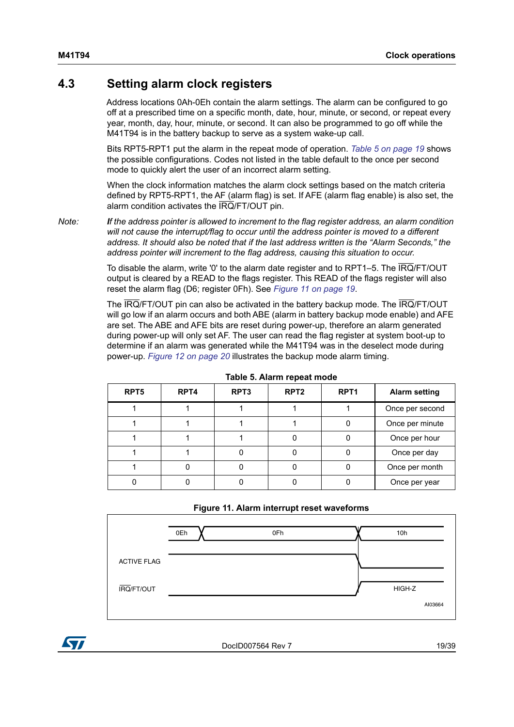### <span id="page-18-0"></span>**4.3 Setting alarm clock registers**

Address locations 0Ah-0Eh contain the alarm settings. The alarm can be configured to go off at a prescribed time on a specific month, date, hour, minute, or second, or repeat every year, month, day, hour, minute, or second. It can also be programmed to go off while the M41T94 is in the battery backup to serve as a system wake-up call.

Bits RPT5-RPT1 put the alarm in the repeat mode of operation. *[Table 5 on page 19](#page-18-1)* shows the possible configurations. Codes not listed in the table default to the once per second mode to quickly alert the user of an incorrect alarm setting.

When the clock information matches the alarm clock settings based on the match criteria defined by RPT5-RPT1, the AF (alarm flag) is set. If AFE (alarm flag enable) is also set, the alarm condition activates the IRQ/FT/OUT pin.

*Note: If the address pointer is allowed to increment to the flag register address, an alarm condition will not cause the interrupt/flag to occur until the address pointer is moved to a different address. It should also be noted that if the last address written is the "Alarm Seconds," the address pointer will increment to the flag address, causing this situation to occur.*

> To disable the alarm, write '0' to the alarm date register and to RPT1–5. The IRQ/FT/OUT output is cleared by a READ to the flags register. This READ of the flags register will also reset the alarm flag (D6; register 0Fh). See *[Figure 11 on page 19](#page-18-2)*.

The IRQ/FT/OUT pin can also be activated in the battery backup mode. The IRQ/FT/OUT will go low if an alarm occurs and both ABE (alarm in battery backup mode enable) and AFE are set. The ABE and AFE bits are reset during power-up, therefore an alarm generated during power-up will only set AF. The user can read the flag register at system boot-up to determine if an alarm was generated while the M41T94 was in the deselect mode during power-up. *[Figure 12 on page 20](#page-19-0)* illustrates the backup mode alarm timing.

<span id="page-18-1"></span>

| RPT <sub>5</sub> | RPT <sub>4</sub> | RPT3 | RPT <sub>2</sub> | RPT <sub>1</sub> | <b>Alarm setting</b> |
|------------------|------------------|------|------------------|------------------|----------------------|
|                  |                  |      |                  |                  | Once per second      |
|                  |                  |      |                  |                  | Once per minute      |
|                  |                  |      |                  |                  | Once per hour        |
|                  |                  |      |                  |                  | Once per day         |
|                  |                  |      |                  |                  | Once per month       |
|                  |                  |      |                  |                  | Once per year        |

#### **Table 5. Alarm repeat mode**

#### **Figure 11. Alarm interrupt reset waveforms**

<span id="page-18-2"></span>

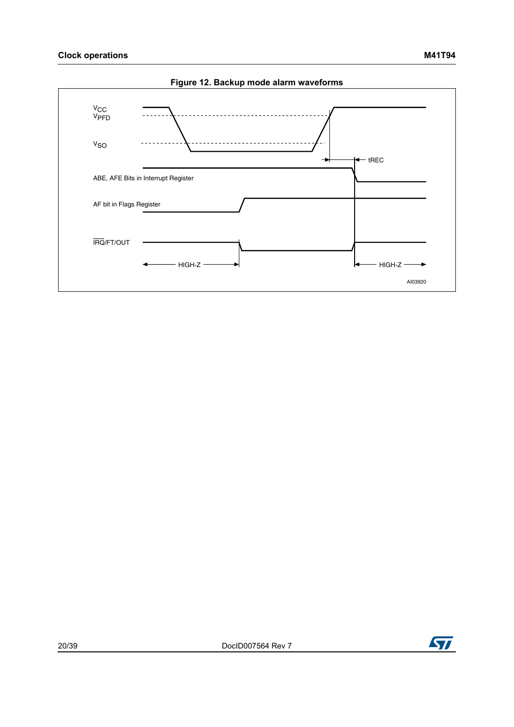<span id="page-19-0"></span>



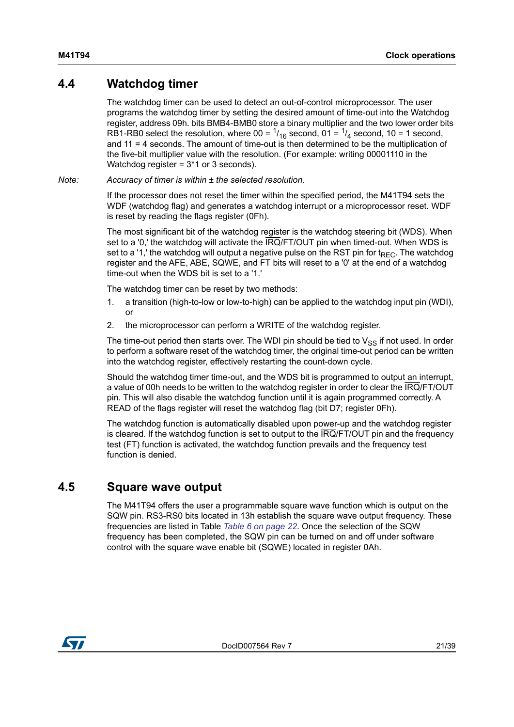### <span id="page-20-0"></span>**4.4 Watchdog timer**

The watchdog timer can be used to detect an out-of-control microprocessor. The user programs the watchdog timer by setting the desired amount of time-out into the Watchdog register, address 09h. bits BMB4-BMB0 store a binary multiplier and the two lower order bits RB1-RB0 select the resolution, where  $00 = \frac{1}{16}$  second,  $01 = \frac{1}{4}$  second,  $10 = 1$  second, and 11 = 4 seconds. The amount of time-out is then determined to be the multiplication of the five-bit multiplier value with the resolution. (For example: writing 00001110 in the Watchdog register = 3\*1 or 3 seconds).

*Note: Accuracy of timer is within ± the selected resolution.*

If the processor does not reset the timer within the specified period, the M41T94 sets the WDF (watchdog flag) and generates a watchdog interrupt or a microprocessor reset. WDF is reset by reading the flags register (0Fh).

The most significant bit of the watchdog register is the watchdog steering bit (WDS). When set to a '0,' the watchdog will activate the IRQ/FT/OUT pin when timed-out. When WDS is set to a '1,' the watchdog will output a negative pulse on the RST pin for  $t_{\text{REC}}$ . The watchdog register and the AFE, ABE, SQWE, and FT bits will reset to a '0' at the end of a watchdog time-out when the WDS bit is set to a '1.'

The watchdog timer can be reset by two methods:

- 1. a transition (high-to-low or low-to-high) can be applied to the watchdog input pin (WDI), or
- 2. the microprocessor can perform a WRITE of the watchdog register.

The time-out period then starts over. The WDI pin should be tied to  $V_{SS}$  if not used. In order to perform a software reset of the watchdog timer, the original time-out period can be written into the watchdog register, effectively restarting the count-down cycle.

Should the watchdog timer time-out, and the WDS bit is programmed to output an interrupt, a value of 00h needs to be written to the watchdog register in order to clear the IRQ/FT/OUT pin. This will also disable the watchdog function until it is again programmed correctly. A READ of the flags register will reset the watchdog flag (bit D7; register 0Fh).

The watchdog function is automatically disabled upon power-up and the watchdog register is cleared. If the watchdog function is set to output to the IRQ/FT/OUT pin and the frequency test (FT) function is activated, the watchdog function prevails and the frequency test function is denied.

### <span id="page-20-1"></span>**4.5 Square wave output**

The M41T94 offers the user a programmable square wave function which is output on the SQW pin. RS3-RS0 bits located in 13h establish the square wave output frequency. These frequencies are listed in Table *[Table 6 on page 22](#page-21-2)*. Once the selection of the SQW frequency has been completed, the SQW pin can be turned on and off under software control with the square wave enable bit (SQWE) located in register 0Ah.

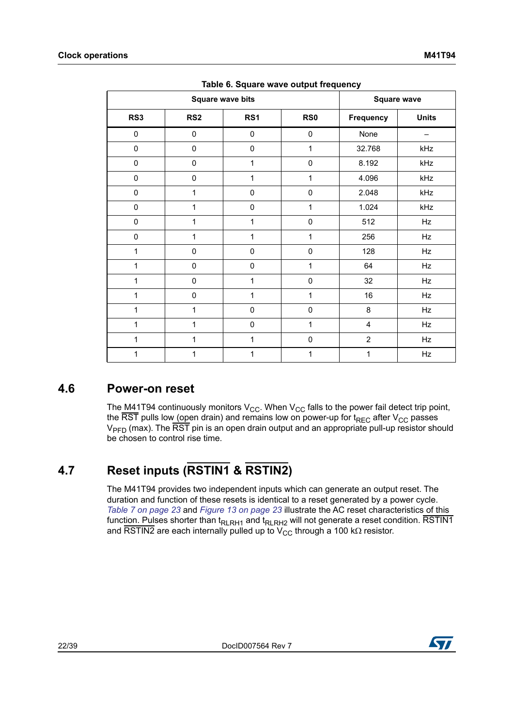<span id="page-21-2"></span>

|              | <b>Square wave bits</b> |              | <b>Square wave</b> |                  |              |
|--------------|-------------------------|--------------|--------------------|------------------|--------------|
| RS3          | RS <sub>2</sub>         | RS1          | RS <sub>0</sub>    | <b>Frequency</b> | <b>Units</b> |
| $\mathbf 0$  | $\pmb{0}$               | $\pmb{0}$    | $\pmb{0}$          | None             |              |
| $\mathbf 0$  | $\pmb{0}$               | $\mathbf 0$  | 1                  | 32.768           | kHz          |
| $\pmb{0}$    | $\pmb{0}$               | 1            | $\pmb{0}$          | 8.192            | kHz          |
| $\pmb{0}$    | $\pmb{0}$               | 1            | 1                  | 4.096            | kHz          |
| $\pmb{0}$    | 1                       | $\mathbf 0$  | $\pmb{0}$          | 2.048            | kHz          |
| $\mathbf 0$  | 1                       | $\mathbf 0$  | 1                  | 1.024            | kHz          |
| $\mathbf 0$  | 1                       | 1            | $\mathbf 0$        | 512              | Hz           |
| $\mathbf 0$  | 1                       | 1            | 1                  | 256              | Hz           |
| 1            | $\pmb{0}$               | $\mathbf 0$  | $\pmb{0}$          | 128              | Hz           |
| 1            | $\mathbf 0$             | $\mathbf 0$  | 1                  | 64               | Hz           |
| 1            | $\mathbf 0$             | $\mathbf{1}$ | $\pmb{0}$          | 32               | Hz           |
| 1            | $\pmb{0}$               | 1            | 1                  | 16               | Hz           |
| 1            | 1                       | $\mathbf 0$  | $\pmb{0}$          | 8                | Hz           |
| 1            | 1                       | $\mathbf 0$  | 1                  | $\overline{4}$   | Hz           |
| $\mathbf{1}$ | 1                       | 1            | 0                  | $\overline{2}$   | Hz           |
| 1            | 1                       | 1            | 1                  | 1                | Hz           |

| Table 6. Square wave output frequency |  |  |  |  |  |
|---------------------------------------|--|--|--|--|--|
|---------------------------------------|--|--|--|--|--|

### <span id="page-21-0"></span>**4.6 Power-on reset**

The M41T94 continuously monitors  $V_{CC}$ . When  $V_{CC}$  falls to the power fail detect trip point, the  $\overline{\text{RST}}$  pulls low (open drain) and remains low on power-up for t<sub>REC</sub> after V<sub>CC</sub> passes  $V_{\text{PFD}}$  (max). The  $\overline{\text{RST}}$  pin is an open drain output and an appropriate pull-up resistor should be chosen to control rise time.

## <span id="page-21-1"></span>**4.7 Reset inputs (RSTIN1 & RSTIN2)**

The M41T94 provides two independent inputs which can generate an output reset. The duration and function of these resets is identical to a reset generated by a power cycle. *[Table 7 on page 23](#page-22-1)* and *[Figure 13 on page 23](#page-22-2)* illustrate the AC reset characteristics of this func<u>tion. Pul</u>ses shorter than t<sub>RLRH1</sub> and t<sub>RLRH2</sub> will not generate a reset condition. RSTIN1 and RSTIN2 are each internally pulled up to  $\rm V_{CC}$  through a 100 k $\Omega$  resistor.

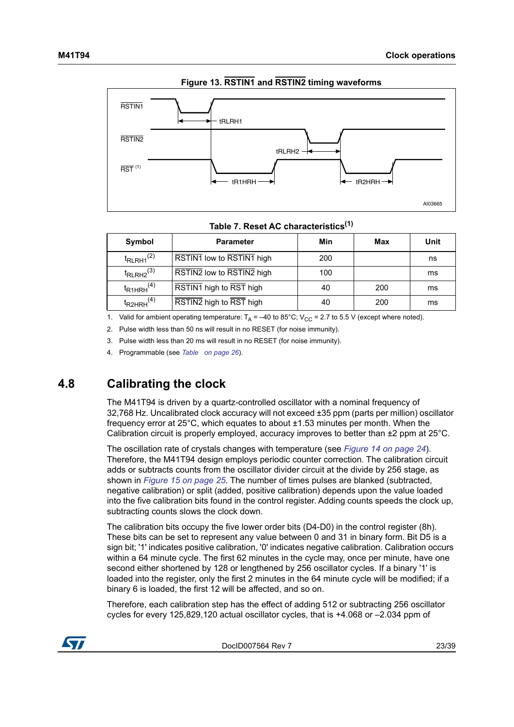<span id="page-22-2"></span>

#### **Figure 13. RSTIN1 and RSTIN2 timing waveforms**

#### **Table 7. Reset AC characteristics(1)**

<span id="page-22-1"></span>

| Symbol                     | <b>Parameter</b>          | Min | Max | Unit |
|----------------------------|---------------------------|-----|-----|------|
| $t_{RLRH1}$ <sup>(2)</sup> | RSTIN1 low to RSTIN1 high | 200 |     | ns   |
| $t_{\text{RLRH2}}^{(3)}$   | RSTIN2 low to RSTIN2 high | 100 |     | ms   |
| $t_{R1HRH}$ <sup>(4)</sup> | RSTIN1 high to RST high   | 40  | 200 | ms   |
| $t_{R2HRH}^{(4)}$          | RSTIN2 high to RST high   | 40  | 200 | ms   |

1. Valid for ambient operating temperature:  $T_A = -40$  to 85°C; V<sub>CC</sub> = 2.7 to 5.5 V (except where noted).

2. Pulse width less than 50 ns will result in no RESET (for noise immunity).

3. Pulse width less than 20 ms will result in no RESET (for noise immunity).

4. Programmable (see *Table on page 26*).

### <span id="page-22-0"></span>**4.8 Calibrating the clock**

The M41T94 is driven by a quartz-controlled oscillator with a nominal frequency of 32,768 Hz. Uncalibrated clock accuracy will not exceed ±35 ppm (parts per million) oscillator frequency error at 25°C, which equates to about ±1.53 minutes per month. When the Calibration circuit is properly employed, accuracy improves to better than ±2 ppm at 25°C.

The oscillation rate of crystals changes with temperature (see *[Figure 14 on page 24](#page-23-0)*). Therefore, the M41T94 design employs periodic counter correction. The calibration circuit adds or subtracts counts from the oscillator divider circuit at the divide by 256 stage, as shown in *[Figure 15 on page 25](#page-24-3)*. The number of times pulses are blanked (subtracted, negative calibration) or split (added, positive calibration) depends upon the value loaded into the five calibration bits found in the control register. Adding counts speeds the clock up, subtracting counts slows the clock down.

The calibration bits occupy the five lower order bits (D4-D0) in the control register (8h). These bits can be set to represent any value between 0 and 31 in binary form. Bit D5 is a sign bit; '1' indicates positive calibration, '0' indicates negative calibration. Calibration occurs within a 64 minute cycle. The first 62 minutes in the cycle may, once per minute, have one second either shortened by 128 or lengthened by 256 oscillator cycles. If a binary '1' is loaded into the register, only the first 2 minutes in the 64 minute cycle will be modified; if a binary 6 is loaded, the first 12 will be affected, and so on.

Therefore, each calibration step has the effect of adding 512 or subtracting 256 oscillator cycles for every 125,829,120 actual oscillator cycles, that is +4.068 or –2.034 ppm of

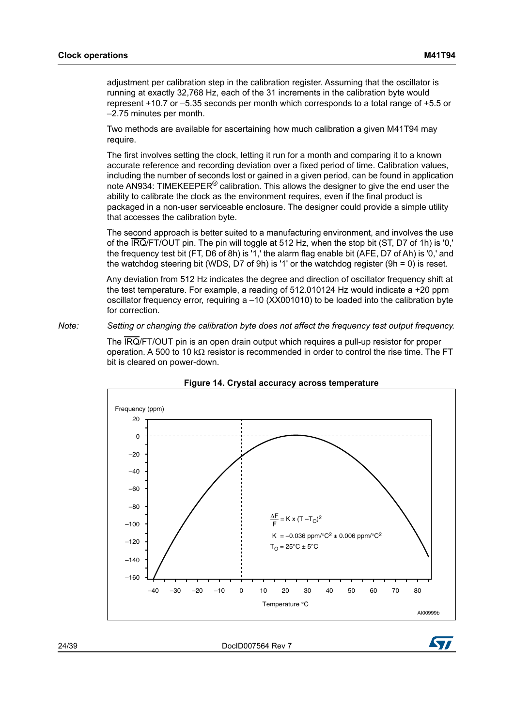adjustment per calibration step in the calibration register. Assuming that the oscillator is running at exactly 32,768 Hz, each of the 31 increments in the calibration byte would represent +10.7 or –5.35 seconds per month which corresponds to a total range of +5.5 or –2.75 minutes per month.

Two methods are available for ascertaining how much calibration a given M41T94 may require.

The first involves setting the clock, letting it run for a month and comparing it to a known accurate reference and recording deviation over a fixed period of time. Calibration values, including the number of seconds lost or gained in a given period, can be found in application note AN934: TIMEKEEPER® calibration. This allows the designer to give the end user the ability to calibrate the clock as the environment requires, even if the final product is packaged in a non-user serviceable enclosure. The designer could provide a simple utility that accesses the calibration byte.

The second approach is better suited to a manufacturing environment, and involves the use of the IRQ/FT/OUT pin. The pin will toggle at 512 Hz, when the stop bit (ST, D7 of 1h) is '0,' the frequency test bit (FT, D6 of 8h) is '1,' the alarm flag enable bit (AFE, D7 of Ah) is '0,' and the watchdog steering bit (WDS, D7 of 9h) is '1' or the watchdog register (9h = 0) is reset.

Any deviation from 512 Hz indicates the degree and direction of oscillator frequency shift at the test temperature. For example, a reading of 512.010124 Hz would indicate a +20 ppm oscillator frequency error, requiring a –10 (XX001010) to be loaded into the calibration byte for correction.

#### *Note: Setting or changing the calibration byte does not affect the frequency test output frequency.*

The IRQ/FT/OUT pin is an open drain output which requires a pull-up resistor for proper operation. A 500 to 10 k $\Omega$  resistor is recommended in order to control the rise time. The FT bit is cleared on power-down.

<span id="page-23-0"></span>



24/39 DocID007564 Rev 7

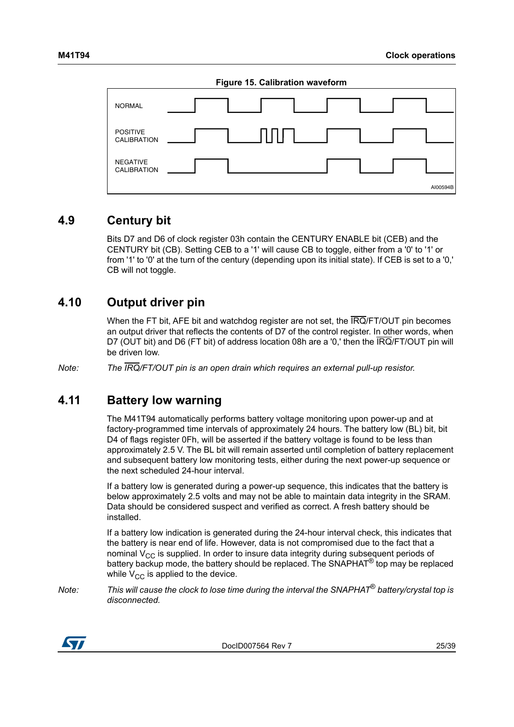<span id="page-24-3"></span>

| Figure 15. Calibration waveform |          |  |  |  |  |
|---------------------------------|----------|--|--|--|--|
| <b>NORMAL</b>                   |          |  |  |  |  |
| <b>POSITIVE</b><br>CALIBRATION  |          |  |  |  |  |
| <b>NEGATIVE</b><br>CALIBRATION  |          |  |  |  |  |
|                                 | AI00594B |  |  |  |  |

### <span id="page-24-0"></span>**4.9 Century bit**

Bits D7 and D6 of clock register 03h contain the CENTURY ENABLE bit (CEB) and the CENTURY bit (CB). Setting CEB to a '1' will cause CB to toggle, either from a '0' to '1' or from '1' to '0' at the turn of the century (depending upon its initial state). If CEB is set to a '0,' CB will not toggle.

### <span id="page-24-1"></span>**4.10 Output driver pin**

When the FT bit, AFE bit and watchdog register are not set, the IRQ/FT/OUT pin becomes an output driver that reflects the contents of D7 of the control register. In other words, when D7 (OUT bit) and D6 (FT bit) of address location 08h are a '0,' then the IRQ/FT/OUT pin will be driven low.

*Note: The IRQ/FT/OUT pin is an open drain which requires an external pull-up resistor.*

### <span id="page-24-2"></span>**4.11 Battery low warning**

The M41T94 automatically performs battery voltage monitoring upon power-up and at factory-programmed time intervals of approximately 24 hours. The battery low (BL) bit, bit D4 of flags register 0Fh, will be asserted if the battery voltage is found to be less than approximately 2.5 V. The BL bit will remain asserted until completion of battery replacement and subsequent battery low monitoring tests, either during the next power-up sequence or the next scheduled 24-hour interval.

If a battery low is generated during a power-up sequence, this indicates that the battery is below approximately 2.5 volts and may not be able to maintain data integrity in the SRAM. Data should be considered suspect and verified as correct. A fresh battery should be installed.

If a battery low indication is generated during the 24-hour interval check, this indicates that the battery is near end of life. However, data is not compromised due to the fact that a nominal  $V_{CC}$  is supplied. In order to insure data integrity during subsequent periods of battery backup mode, the battery should be replaced. The SNAPHAT<sup>®</sup> top may be replaced while  $V_{CC}$  is applied to the device.

*Note: This will cause the clock to lose time during the interval the SNAPHAT*® *battery/crystal top is disconnected.*

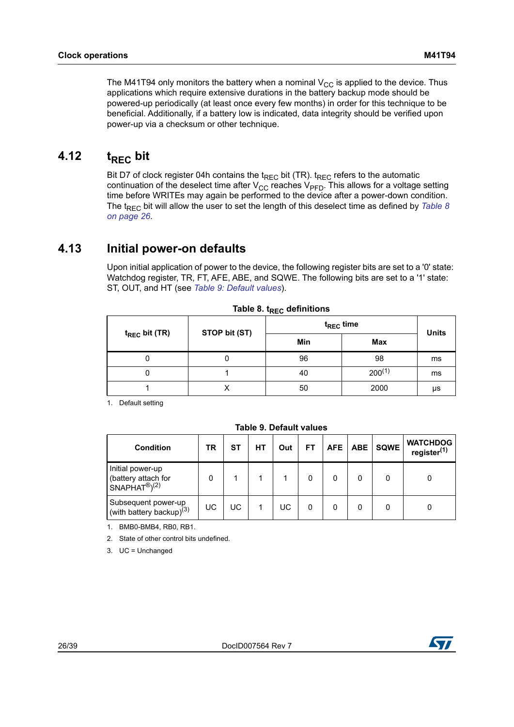applications which require extensive durations in the battery backup mode should be powered-up periodically (at least once every few months) in order for this technique to be beneficial. Additionally, if a battery low is indicated, data integrity should be verified upon power-up via a checksum or other technique.

## <span id="page-25-0"></span>**4.12** t<sub>RFC</sub> bit

Bit D7 of clock register 04h contains the  $t_{\text{RFC}}$  bit (TR).  $t_{\text{RFC}}$  refers to the automatic continuation of the deselect time after  $V_{CC}$  reaches  $V_{PFD}$ . This allows for a voltage setting time before WRITEs may again be performed to the device after a power-down condition. The t<sub>REC</sub> bit will allow the user to set the length of this deselect time as defined by *Table 8 [on page 26](#page-25-2)*.

### <span id="page-25-1"></span>**4.13 Initial power-on defaults**

Upon initial application of power to the device, the following register bits are set to a '0' state: Watchdog register, TR, FT, AFE, ABE, and SQWE. The following bits are set to a '1' state: ST, OUT, and HT (see *[Table 9: Default values](#page-25-3)*).

<span id="page-25-2"></span>

|                    | STOP bit (ST) | ${\rm t_{REC}}$ time | <b>Units</b> |    |
|--------------------|---------------|----------------------|--------------|----|
| $t_{REC}$ bit (TR) |               | Min                  | Max          |    |
| 0                  |               | 96                   | 98           | ms |
| 0                  |               | 40                   | $200^{(1)}$  | ms |
|                    |               | 50                   | 2000         | μs |

|  |  |  | Table 8. t <sub>REC</sub> definitions |
|--|--|--|---------------------------------------|
|--|--|--|---------------------------------------|

1. Default setting

<span id="page-25-3"></span>

| <b>Condition</b>                                                    | TR | SТ | НT | Out | FT | <b>AFE</b> | <b>ABE</b> | <b>SQWE</b> | <b>WATCHDOG</b><br>register <sup>(1)</sup> |
|---------------------------------------------------------------------|----|----|----|-----|----|------------|------------|-------------|--------------------------------------------|
| Initial power-up<br>(battery attach for<br>$SNAPHAT^{\circledR}(2)$ | 0  |    |    |     | 0  | 0          | 0          |             |                                            |
| Subsequent power-up<br>(with battery backup) $(3)$                  | UC | UC |    | UC  |    |            | 0          |             |                                            |

#### **Table 9. Default values**

1. BMB0-BMB4, RB0, RB1.

2. State of other control bits undefined.

3. UC = Unchanged

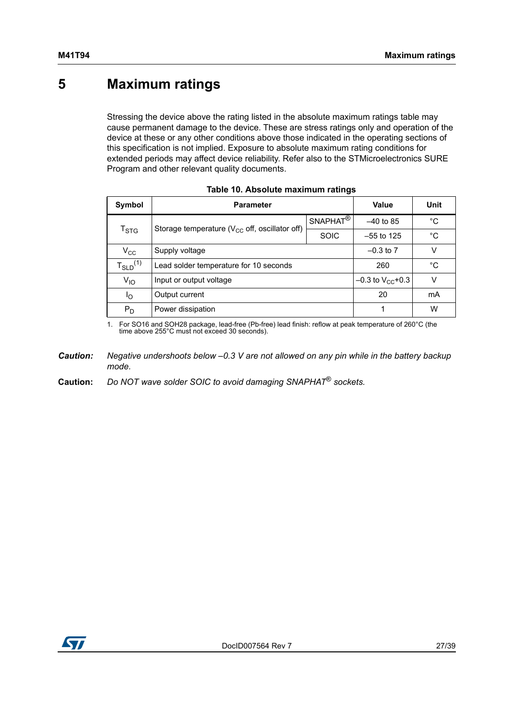## <span id="page-26-0"></span>**5 Maximum ratings**

Stressing the device above the rating listed in the absolute maximum ratings table may cause permanent damage to the device. These are stress ratings only and operation of the device at these or any other conditions above those indicated in the operating sections of this specification is not implied. Exposure to absolute maximum rating conditions for extended periods may affect device reliability. Refer also to the STMicroelectronics SURE Program and other relevant quality documents.

<span id="page-26-1"></span>

| Symbol           | <b>Parameter</b>                                    |                      | Value                   | Unit |
|------------------|-----------------------------------------------------|----------------------|-------------------------|------|
|                  | Storage temperature ( $V_{CC}$ off, oscillator off) | SNAPHAT <sup>®</sup> | $-40$ to 85             | °C   |
| $T_{\text{STG}}$ |                                                     | <b>SOIC</b>          | $-55$ to 125            | °C   |
| $V_{\rm CC}$     | Supply voltage                                      |                      | $-0.3$ to $7$           | v    |
| $T_{SLD}^{(1)}$  | Lead solder temperature for 10 seconds              |                      | 260                     | °C   |
| $V_{IO}$         | Input or output voltage                             |                      | $-0.3$ to $V_{CC}$ +0.3 | V    |
| l <sub>O</sub>   | Output current                                      |                      | 20                      | mA   |
| $P_D$            | Power dissipation                                   |                      |                         | W    |

| Table 10. Absolute maximum ratings |  |
|------------------------------------|--|
|------------------------------------|--|

1. For SO16 and SOH28 package, lead-free (Pb-free) lead finish: reflow at peak temperature of 260°C (the time above 255°C must not exceed 30 seconds).

*Caution: Negative undershoots below –0.3 V are not allowed on any pin while in the battery backup mode.*

**Caution:** *Do NOT wave solder SOIC to avoid damaging SNAPHAT*® *sockets.*

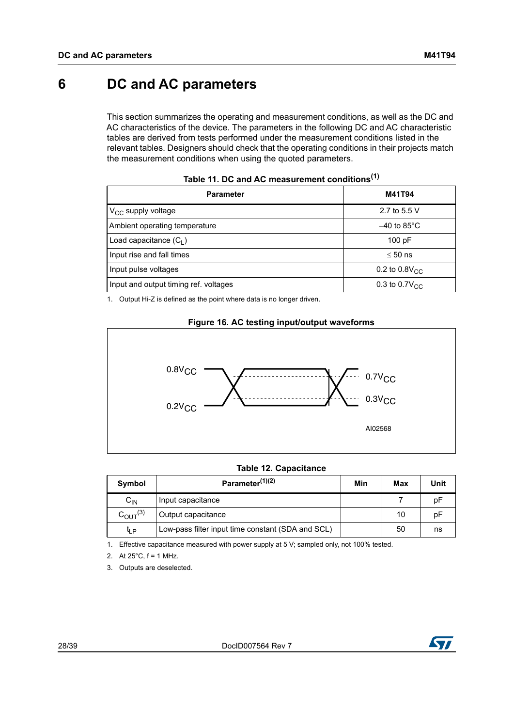## <span id="page-27-0"></span>**6 DC and AC parameters**

This section summarizes the operating and measurement conditions, as well as the DC and AC characteristics of the device. The parameters in the following DC and AC characteristic tables are derived from tests performed under the measurement conditions listed in the relevant tables. Designers should check that the operating conditions in their projects match the measurement conditions when using the quoted parameters.

<span id="page-27-1"></span>

| <b>Parameter</b>                      | M41T94                    |
|---------------------------------------|---------------------------|
| $V_{CC}$ supply voltage               | 2.7 to 5.5 V              |
| Ambient operating temperature         | $-40$ to 85°C             |
| Load capacitance $(C_1)$              | 100 pF                    |
| Input rise and fall times             | $\leq 50$ ns              |
| Input pulse voltages                  | 0.2 to $0.8V_{\text{CC}}$ |
| Input and output timing ref. voltages | 0.3 to 0.7 $V_{CC}$       |

**Table 11. DC and AC measurement conditions(1)**

1. Output Hi-Z is defined as the point where data is no longer driven.

#### **Figure 16. AC testing input/output waveforms**

<span id="page-27-3"></span>

#### **Table 12. Capacitance**

<span id="page-27-2"></span>

| Symbol                 | Parameter <sup>(1)(2)</sup>                       | Min | Max | Unit |
|------------------------|---------------------------------------------------|-----|-----|------|
| $C_{IN}$               | Input capacitance                                 |     |     | pF   |
| $C_{\text{OUT}}^{(3)}$ | Output capacitance                                |     | 10  | рF   |
| tլ p                   | Low-pass filter input time constant (SDA and SCL) |     | 50  | ns   |

1. Effective capacitance measured with power supply at 5 V; sampled only, not 100% tested.

2. At  $25^{\circ}$ C,  $f = 1$  MHz.

3. Outputs are deselected.

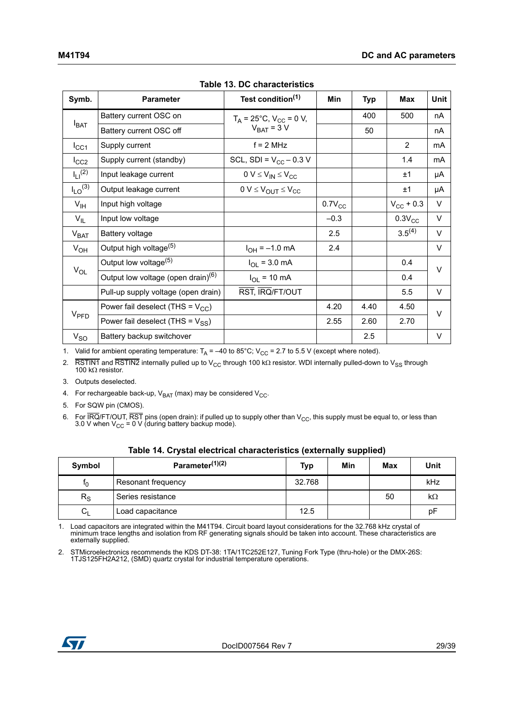<span id="page-28-0"></span>

| Symb.                   | <b>Parameter</b>                               | Test condition <sup>(1)</sup>         | <b>Min</b>  | <b>Typ</b> | <b>Max</b>         | <b>Unit</b> |
|-------------------------|------------------------------------------------|---------------------------------------|-------------|------------|--------------------|-------------|
|                         | Battery current OSC on                         | $T_A = 25^{\circ}C$ , $V_{CC} = 0$ V, |             | 400        | 500                | nA          |
| $I_{BAT}$               | Battery current OSC off                        | $V_{BAT} = 3 V$                       |             | 50         |                    | nA          |
| $I_{\rm CC1}$           | Supply current                                 | $f = 2 MHz$                           |             |            | 2                  | mA          |
| $I_{CC2}$               | Supply current (standby)                       | SCL, SDI = $V_{CC}$ – 0.3 V           |             |            | 1.4                | mA          |
| $I_{11}^{(2)}$          | Input leakage current                          | $0 V \leq V_{IN} \leq V_{CC}$         |             |            | ±1                 | μA          |
| $I_{LO}$ <sup>(3)</sup> | Output leakage current                         | $0 V \leq V_{OUT} \leq V_{CC}$        |             |            | ±1                 | μA          |
| $V_{\text{IH}}$         | Input high voltage                             |                                       | $0.7V_{CC}$ |            | $V_{\rm CC}$ + 0.3 | $\vee$      |
| $V_{IL}$                | Input low voltage                              |                                       | $-0.3$      |            | $0.3V_{CC}$        | $\vee$      |
| $V_{\text{BAT}}$        | Battery voltage                                |                                       | 2.5         |            | $3.5^{(4)}$        | V           |
| $V_{OH}$                | Output high voltage <sup>(5)</sup>             | $I_{OH} = -1.0$ mA                    | 2.4         |            |                    | $\vee$      |
| $V_{OL}$                | Output low voltage <sup>(5)</sup>              | $I_{OL}$ = 3.0 mA                     |             |            | 0.4                | $\vee$      |
|                         | Output low voltage (open drain) <sup>(6)</sup> | $I_{OL}$ = 10 mA                      |             |            | 0.4                |             |
|                         | Pull-up supply voltage (open drain)            | RST, IRQ/FT/OUT                       |             |            | 5.5                | $\vee$      |
|                         | Power fail deselect (THS = $V_{CC}$ )          |                                       | 4.20        | 4.40       | 4.50               | $\vee$      |
| V <sub>PPD</sub>        | Power fail deselect (THS = $V_{SS}$ )          |                                       | 2.55        | 2.60       | 2.70               |             |
| $V_{SO}$                | Battery backup switchover                      |                                       |             | 2.5        |                    | $\vee$      |

**Table 13. DC characteristics**

1. Valid for ambient operating temperature:  $T_A = -40$  to 85°C; V<sub>CC</sub> = 2.7 to 5.5 V (except where noted).

2. RSTIN1 and RSTIN2 internally pulled up to V<sub>CC</sub> through 100 kΩ resistor. WDI internally pulled-down to V<sub>SS</sub> through 100 kΩ resistor.

- 3. Outputs deselected.
- 4. For rechargeable back-up,  $V_{BAT}$  (max) may be considered  $V_{CC}$ .
- 5. For SQW pin (CMOS).
- 6. For IRQ/FT/OUT, RST pins (open drain): if pulled up to supply other than  $V_{CC}$ , this supply must be equal to, or less than 3.0 V when V $_{\rm CC}$  = 0 V (during battery backup mode).

<span id="page-28-1"></span>

| Symbol         | Parameter <sup>(1)(2)</sup> | <b>Typ</b> | Min | <b>Max</b> | Unit      |
|----------------|-----------------------------|------------|-----|------------|-----------|
| t <sub>0</sub> | <b>Resonant frequency</b>   | 32.768     |     |            | kHz       |
| $R_S$          | Series resistance           |            |     | 50         | $k\Omega$ |
| $C_{L}$        | Load capacitance            | 12.5       |     |            | рF        |

**Table 14. Crystal electrical characteristics (externally supplied)**

1. Load capacitors are integrated within the M41T94. Circuit board layout considerations for the 32.768 kHz crystal of minimum trace lengths and isolation from RF generating signals should be taken into account. These characteristics are externally supplied.

2. STMicroelectronics recommends the KDS DT-38: 1TA/1TC252E127, Tuning Fork Type (thru-hole) or the DMX-26S: 1TJS125FH2A212, (SMD) quartz crystal for industrial temperature operations.

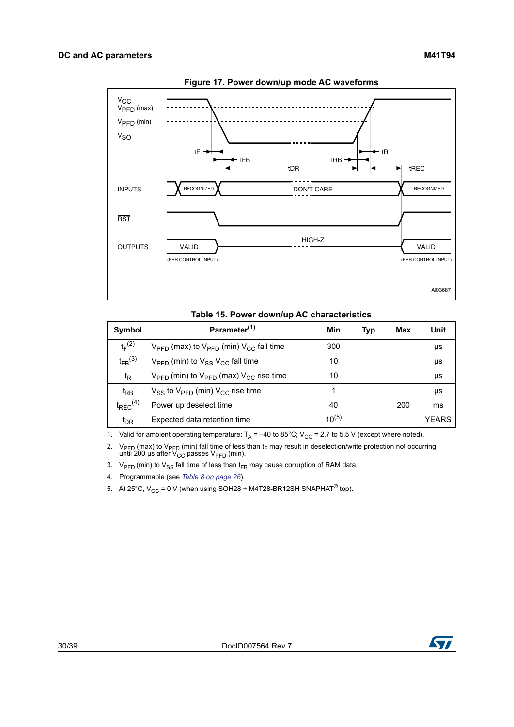<span id="page-29-1"></span>

**Figure 17. Power down/up mode AC waveforms**

#### **Table 15. Power down/up AC characteristics**

<span id="page-29-0"></span>

| Symbol                  | Parameter <sup>(1)</sup>                                                   | Min        | Typ | Max | Unit         |
|-------------------------|----------------------------------------------------------------------------|------------|-----|-----|--------------|
| $t_F^{(2)}$             | $V_{\text{PFD}}$ (max) to $V_{\text{PFD}}$ (min) $V_{\text{CC}}$ fall time | 300        |     |     | μs           |
| $t_{FB}$ <sup>(3)</sup> | $V_{\text{PFD}}$ (min) to $V_{SS}$ $V_{CC}$ fall time                      | 10         |     |     | μs           |
| t <sub>R</sub>          | $V_{\text{PFD}}$ (min) to $V_{\text{PFD}}$ (max) $V_{\text{CC}}$ rise time | 10         |     |     | μs           |
| t <sub>RB</sub>         | $V_{SS}$ to $V_{\text{PFD}}$ (min) $V_{CC}$ rise time                      |            |     |     | μs           |
| $t_{\text{REC}}^{(4)}$  | Power up deselect time                                                     | 40         |     | 200 | ms           |
| $t_{DR}$                | Expected data retention time                                               | $10^{(5)}$ |     |     | <b>YEARS</b> |

1. Valid for ambient operating temperature:  $T_A = -40$  to 85°C; V<sub>CC</sub> = 2.7 to 5.5 V (except where noted).

2. V<sub>PFD</sub> (max) to V<sub>PFD</sub> (min) fall time of less than t<sub>F</sub> may result in deselection/write protection not occurring until 200 μs after V $_{\rm CC}$  passes V $_{\rm PFD}$  (min).

3.  $V_{\text{PFD}}$  (min) to  $V_{\text{SS}}$  fall time of less than t<sub>FB</sub> may cause corruption of RAM data.

4. Programmable (see *[Table 8 on page 26](#page-25-2)*).

5. At 25°C,  $V_{CC}$  = 0 V (when using SOH28 + M4T28-BR12SH SNAPHAT<sup>®</sup> top).

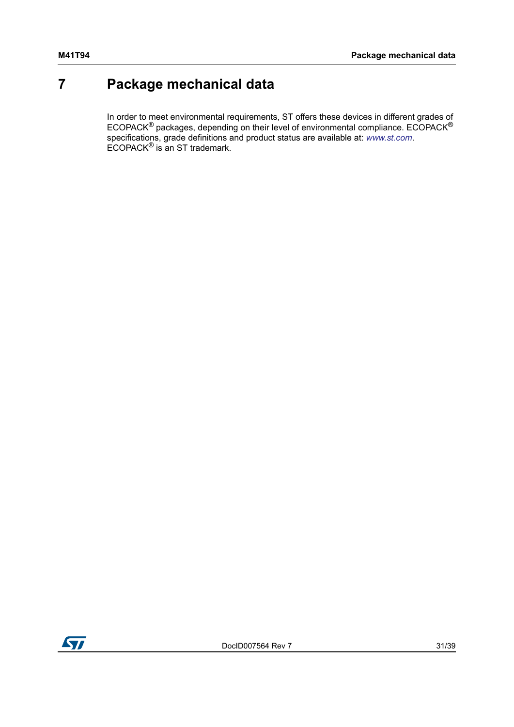## <span id="page-30-0"></span>**7 Package mechanical data**

In order to meet environmental requirements, ST offers these devices in different grades of ECOPACK<sup>®</sup> packages, depending on their level of environmental compliance. ECOPACK<sup>®</sup> specifications, grade definitions and product status are available at: *[www.st.com](http://www.st.com)*. ECOPACK® is an ST trademark.

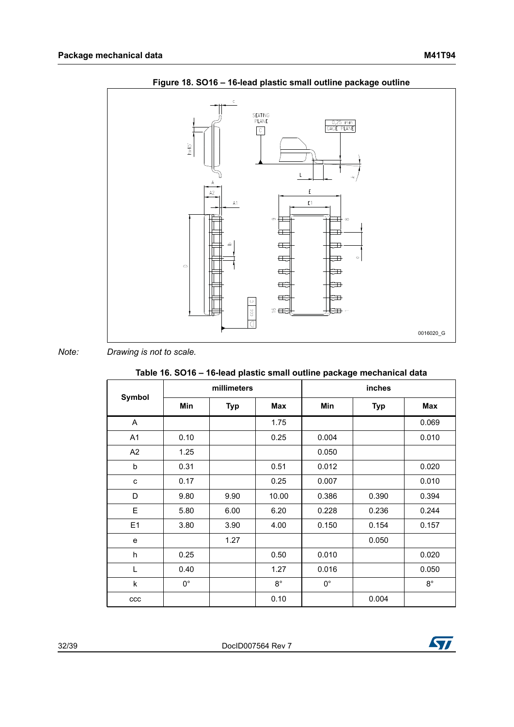<span id="page-31-1"></span>



*Note: Drawing is not to scale.*

<span id="page-31-0"></span>

| .             |             |             |             |             |            |             |  |
|---------------|-------------|-------------|-------------|-------------|------------|-------------|--|
| <b>Symbol</b> |             | millimeters |             | inches      |            |             |  |
|               | Min         | <b>Typ</b>  | Max         | Min         | <b>Typ</b> | Max         |  |
| A             |             |             | 1.75        |             |            | 0.069       |  |
| A1            | 0.10        |             | 0.25        | 0.004       |            | 0.010       |  |
| A2            | 1.25        |             |             | 0.050       |            |             |  |
| b             | 0.31        |             | 0.51        | 0.012       |            | 0.020       |  |
| C             | 0.17        |             | 0.25        | 0.007       |            | 0.010       |  |
| D             | 9.80        | 9.90        | 10.00       | 0.386       | 0.390      | 0.394       |  |
| E             | 5.80        | 6.00        | 6.20        | 0.228       | 0.236      | 0.244       |  |
| E1            | 3.80        | 3.90        | 4.00        | 0.150       | 0.154      | 0.157       |  |
| e             |             | 1.27        |             |             | 0.050      |             |  |
| h             | 0.25        |             | 0.50        | 0.010       |            | 0.020       |  |
| L             | 0.40        |             | 1.27        | 0.016       |            | 0.050       |  |
| k             | $0^{\circ}$ |             | $8^{\circ}$ | $0^{\circ}$ |            | $8^{\circ}$ |  |
| ccc           |             |             | 0.10        |             | 0.004      |             |  |

32/39 DocID007564 Rev 7

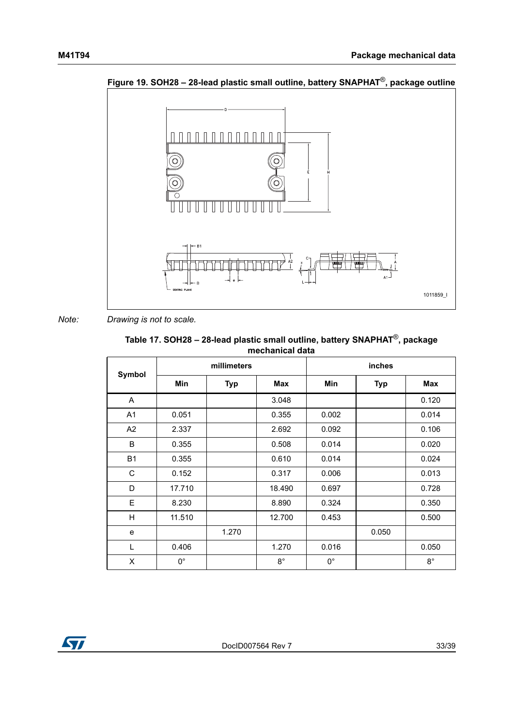

<span id="page-32-1"></span>**Figure 19. SOH28 – 28-lead plastic small outline, battery SNAPHAT**®**, package outline**

*Note: Drawing is not to scale.*

<span id="page-32-0"></span>

| Table 17. SOH28 - 28-lead plastic small outline, battery SNAPHAT <sup>®</sup> , package |
|-----------------------------------------------------------------------------------------|
| mechanical data                                                                         |

| Symbol         |             | millimeters |             | inches      |            |             |
|----------------|-------------|-------------|-------------|-------------|------------|-------------|
|                | <b>Min</b>  | <b>Typ</b>  | <b>Max</b>  | <b>Min</b>  | <b>Typ</b> | <b>Max</b>  |
| A              |             |             | 3.048       |             |            | 0.120       |
| A <sub>1</sub> | 0.051       |             | 0.355       | 0.002       |            | 0.014       |
| A2             | 2.337       |             | 2.692       | 0.092       |            | 0.106       |
| B              | 0.355       |             | 0.508       | 0.014       |            | 0.020       |
| <b>B1</b>      | 0.355       |             | 0.610       | 0.014       |            | 0.024       |
| C              | 0.152       |             | 0.317       | 0.006       |            | 0.013       |
| D              | 17.710      |             | 18.490      | 0.697       |            | 0.728       |
| Е              | 8.230       |             | 8.890       | 0.324       |            | 0.350       |
| H              | 11.510      |             | 12.700      | 0.453       |            | 0.500       |
| e              |             | 1.270       |             |             | 0.050      |             |
| L              | 0.406       |             | 1.270       | 0.016       |            | 0.050       |
| X              | $0^{\circ}$ |             | $8^{\circ}$ | $0^{\circ}$ |            | $8^{\circ}$ |

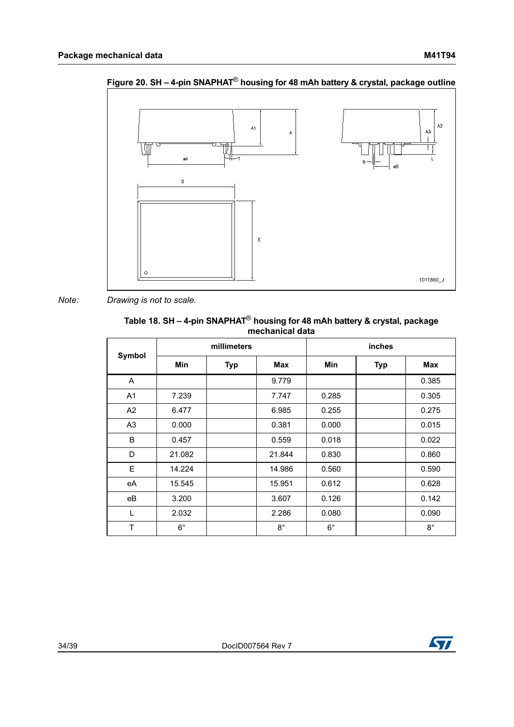

<span id="page-33-1"></span>**Figure 20. SH – 4-pin SNAPHAT**® **housing for 48 mAh battery & crystal, package outline**

*Note: Drawing is not to scale.*

<span id="page-33-0"></span>

| Table 18. SH - 4-pin SNAPHAT <sup>®</sup> housing for 48 mAh battery & crystal, package |
|-----------------------------------------------------------------------------------------|
| mechanical data                                                                         |

| Symbol         |             | millimeters |             | inches      |            |             |
|----------------|-------------|-------------|-------------|-------------|------------|-------------|
|                | <b>Min</b>  | <b>Typ</b>  | Max         | <b>Min</b>  | <b>Typ</b> | Max         |
| A              |             |             | 9.779       |             |            | 0.385       |
| A <sub>1</sub> | 7.239       |             | 7.747       | 0.285       |            | 0.305       |
| A2             | 6.477       |             | 6.985       | 0.255       |            | 0.275       |
| A <sub>3</sub> | 0.000       |             | 0.381       | 0.000       |            | 0.015       |
| B              | 0.457       |             | 0.559       | 0.018       |            | 0.022       |
| D              | 21.082      |             | 21.844      | 0.830       |            | 0.860       |
| E              | 14.224      |             | 14.986      | 0.560       |            | 0.590       |
| eA             | 15.545      |             | 15.951      | 0.612       |            | 0.628       |
| eB             | 3.200       |             | 3.607       | 0.126       |            | 0.142       |
| L              | 2.032       |             | 2.286       | 0.080       |            | 0.090       |
| T              | $6^{\circ}$ |             | $8^{\circ}$ | $6^{\circ}$ |            | $8^{\circ}$ |

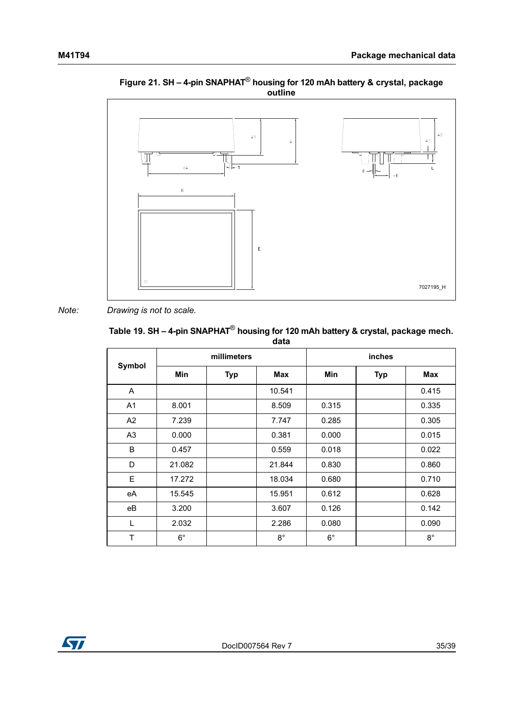<span id="page-34-1"></span>

#### **Figure 21. SH – 4-pin SNAPHAT**® **housing for 120 mAh battery & crystal, package outline**

*Note: Drawing is not to scale.*

## <span id="page-34-0"></span>**Table 19. SH – 4-pin SNAPHAT**® **housing for 120 mAh battery & crystal, package mech.**

| data           |             |            |             |             |            |             |
|----------------|-------------|------------|-------------|-------------|------------|-------------|
| Symbol         | millimeters |            |             | inches      |            |             |
|                | <b>Min</b>  | <b>Typ</b> | Max         | <b>Min</b>  | <b>Typ</b> | <b>Max</b>  |
| A              |             |            | 10.541      |             |            | 0.415       |
| A <sub>1</sub> | 8.001       |            | 8.509       | 0.315       |            | 0.335       |
| A <sub>2</sub> | 7.239       |            | 7.747       | 0.285       |            | 0.305       |
| A <sub>3</sub> | 0.000       |            | 0.381       | 0.000       |            | 0.015       |
| B              | 0.457       |            | 0.559       | 0.018       |            | 0.022       |
| D              | 21.082      |            | 21.844      | 0.830       |            | 0.860       |
| E              | 17.272      |            | 18.034      | 0.680       |            | 0.710       |
| eA             | 15.545      |            | 15.951      | 0.612       |            | 0.628       |
| eB             | 3.200       |            | 3.607       | 0.126       |            | 0.142       |
| $\mathsf{L}$   | 2.032       |            | 2.286       | 0.080       |            | 0.090       |
| Τ              | $6^{\circ}$ |            | $8^{\circ}$ | $6^{\circ}$ |            | $8^{\circ}$ |

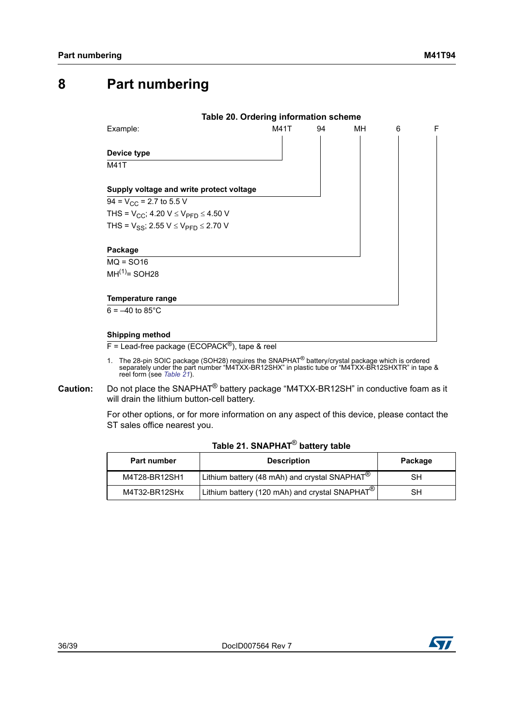## <span id="page-35-0"></span>**8 Part numbering**

<span id="page-35-1"></span>

 $F =$  Lead-free package (ECOPACK<sup>®</sup>), tape & reel

- 1. The 28-pin SOIC package (SOH28) requires the SNAPHAT<sup>®</sup> battery/crystal package which is ordered separately under the part number "M4TXX-BR12SHX" in plastic tube or "M4TXX-BR12SHXTR" in tape & reel form (see *[Table 21](#page-35-2)*).
- **Caution:** Do not place the SNAPHAT® battery package "M4TXX-BR12SH" in conductive foam as it will drain the lithium button-cell battery.

For other options, or for more information on any aspect of this device, please contact the ST sales office nearest you.

|  | Table 21. SNAPHAT $^\circledR$ battery table |  |
|--|----------------------------------------------|--|
|  |                                              |  |

<span id="page-35-2"></span>

| Part number   | <b>Description</b>                                                         | Package |
|---------------|----------------------------------------------------------------------------|---------|
| M4T28-BR12SH1 | <sup>1</sup> Lithium battery (48 mAh) and crystal SNAPHAT <sup>®</sup>     | SН      |
| M4T32-BR12SHx | $\frac{1}{2}$ Lithium battery (120 mAh) and crystal SNAPHAT $^{\circledR}$ | SН      |

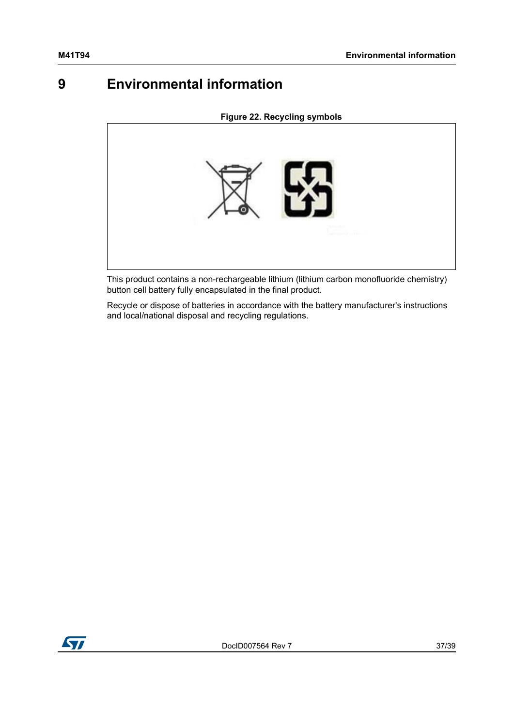## <span id="page-36-0"></span>**9 Environmental information**

<span id="page-36-1"></span>**Figure 22. Recycling symbols**



This product contains a non-rechargeable lithium (lithium carbon monofluoride chemistry) button cell battery fully encapsulated in the final product.

Recycle or dispose of batteries in accordance with the battery manufacturer's instructions and local/national disposal and recycling regulations.

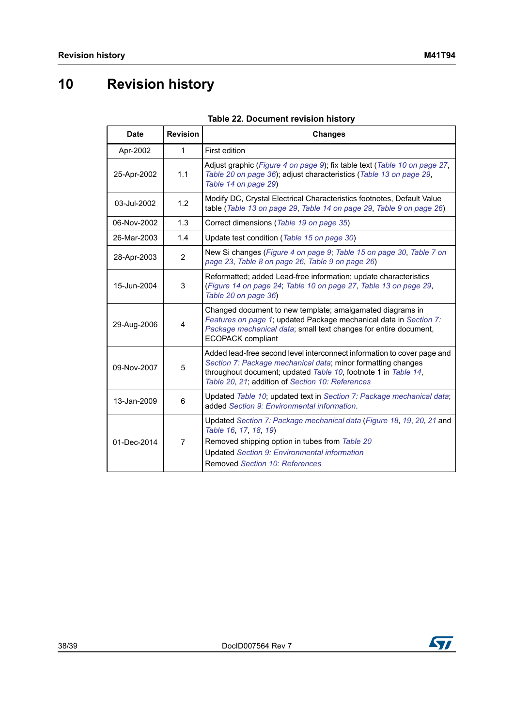# <span id="page-37-0"></span>**10 Revision history**

<span id="page-37-1"></span>

| <b>Date</b> | <b>Revision</b> | <b>Changes</b>                                                                                                                                                                                                                                                |
|-------------|-----------------|---------------------------------------------------------------------------------------------------------------------------------------------------------------------------------------------------------------------------------------------------------------|
| Apr-2002    | $\mathbf{1}$    | First edition                                                                                                                                                                                                                                                 |
| 25-Apr-2002 | 1.1             | Adjust graphic (Figure 4 on page 9); fix table text (Table 10 on page 27,<br>Table 20 on page 36); adjust characteristics (Table 13 on page 29,<br>Table 14 on page 29)                                                                                       |
| 03-Jul-2002 | 1.2             | Modify DC, Crystal Electrical Characteristics footnotes, Default Value<br>table (Table 13 on page 29, Table 14 on page 29, Table 9 on page 26)                                                                                                                |
| 06-Nov-2002 | 1.3             | Correct dimensions (Table 19 on page 35)                                                                                                                                                                                                                      |
| 26-Mar-2003 | 1.4             | Update test condition (Table 15 on page 30)                                                                                                                                                                                                                   |
| 28-Apr-2003 | $\overline{2}$  | New Si changes (Figure 4 on page 9; Table 15 on page 30, Table 7 on<br>page 23, Table 8 on page 26, Table 9 on page 26)                                                                                                                                       |
| 15-Jun-2004 | 3               | Reformatted; added Lead-free information; update characteristics<br>(Figure 14 on page 24; Table 10 on page 27, Table 13 on page 29,<br>Table 20 on page 36)                                                                                                  |
| 29-Aug-2006 | 4               | Changed document to new template; amalgamated diagrams in<br>Features on page 1; updated Package mechanical data in Section 7:<br>Package mechanical data; small text changes for entire document,<br><b>ECOPACK</b> compliant                                |
| 09-Nov-2007 | 5               | Added lead-free second level interconnect information to cover page and<br>Section 7: Package mechanical data; minor formatting changes<br>throughout document; updated Table 10, footnote 1 in Table 14,<br>Table 20, 21; addition of Section 10: References |
| 13-Jan-2009 | 6               | Updated Table 10; updated text in Section 7: Package mechanical data;<br>added Section 9: Environmental information.                                                                                                                                          |
| 01-Dec-2014 | 7               | Updated Section 7: Package mechanical data (Figure 18, 19, 20, 21 and<br>Table 16, 17, 18, 19)<br>Removed shipping option in tubes from Table 20<br><b>Updated Section 9: Environmental information</b><br>Removed Section 10: References                     |

#### **Table 22. Document revision history**